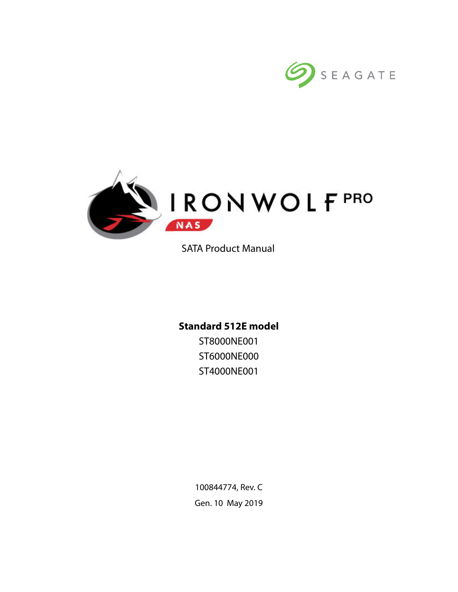



SATA Product Manual

# **Standard 512E model**

ST8000NE001 ST6000NE000 ST4000NE001

100844774, Rev. C Gen. 10 May 2019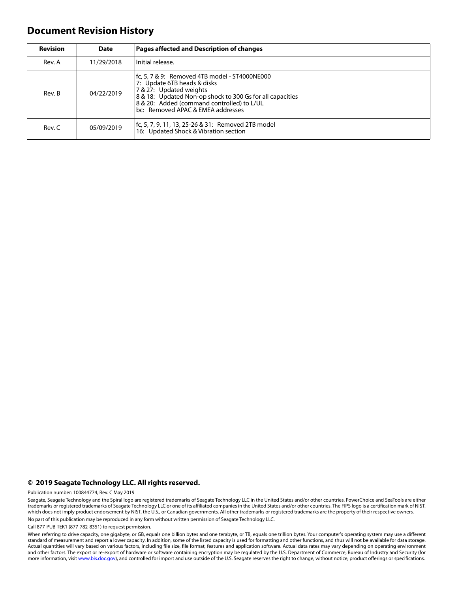# **Document Revision History**

| <b>Revision</b> | <b>Date</b> | <b>Pages affected and Description of changes</b>                                                                                                                                                                                                        |
|-----------------|-------------|---------------------------------------------------------------------------------------------------------------------------------------------------------------------------------------------------------------------------------------------------------|
| Rev. A          | 11/29/2018  | Initial release.                                                                                                                                                                                                                                        |
| Rev. B          | 04/22/2019  | fc, 5, 7 & 9: Removed 4TB model - ST4000NE000<br>7: Update 6TB heads & disks<br>7 & 27: Updated weights<br>8 & 18: Updated Non-op shock to 300 Gs for all capacities<br>8 & 20: Added (command controlled) to L/UL<br>bc: Removed APAC & EMEA addresses |
| Rev. C          | 05/09/2019  | fc, 5, 7, 9, 11, 13, 25-26 & 31: Removed 2TB model<br>16: Updated Shock & Vibration section                                                                                                                                                             |

#### **© 2019 Seagate Technology LLC. All rights reserved.**

Publication number: 100844774, Rev. C May 2019

Seagate, Seagate Technology and the Spiral logo are registered trademarks of Seagate Technology LLC in the United States and/or other countries. PowerChoice and SeaTools are either trademarks or registered trademarks of Seagate Technology LLC or one of its affiliated companies in the United States and/or other countries. The FIPS logo is a certification mark of NIST, which does not imply product endorsement by NIST, the U.S., or Canadian governments. All other trademarks or registered trademarks are the property of their respective owners. No part of this publication may be reproduced in any form without written permission of Seagate Technology LLC.

Call 877-PUB-TEK1 (877-782-8351) to request permission.

When referring to drive capacity, one gigabyte, or GB, equals one billion bytes and one terabyte, or TB, equals one trillion bytes. Your computer's operating system may use a different standard of measurement and report a lower capacity. In addition, some of the listed capacity is used for formatting and other functions, and thus will not be available for data storage. Actual quantities will vary based on various factors, including file size, file format, features and application software. Actual data rates may vary depending on operating environment and other factors. The export or re-export of hardware or software containing encryption may be regulated by the U.S. Department of Commerce, Bureau of Industry and Security (for more information, visit [www.bis.doc.gov](http://www.bis.doc.gov)), and controlled for import and use outside of the U.S. Seagate reserves the right to change, without notice, product offerings or specifications.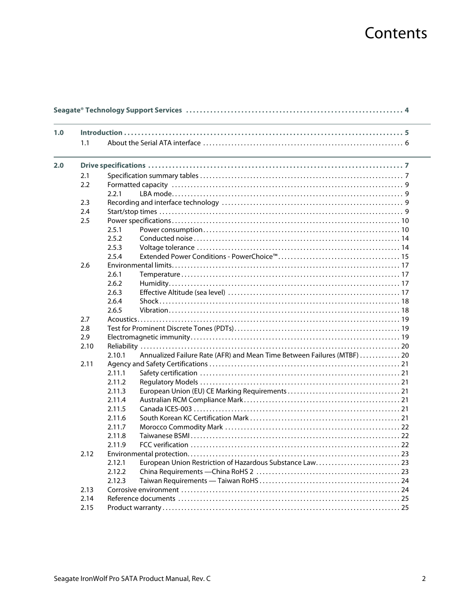# Contents

| 1.0 |      |        |                                                                         |  |  |  |
|-----|------|--------|-------------------------------------------------------------------------|--|--|--|
|     | 1.1  |        |                                                                         |  |  |  |
| 2.0 |      |        |                                                                         |  |  |  |
|     | 2.1  |        |                                                                         |  |  |  |
|     | 2.2  |        |                                                                         |  |  |  |
|     |      | 2.2.1  |                                                                         |  |  |  |
|     | 2.3  |        |                                                                         |  |  |  |
|     | 2.4  |        |                                                                         |  |  |  |
|     | 2.5  |        |                                                                         |  |  |  |
|     |      | 2.5.1  |                                                                         |  |  |  |
|     |      | 2.5.2  |                                                                         |  |  |  |
|     |      | 2.5.3  |                                                                         |  |  |  |
|     |      | 2.5.4  |                                                                         |  |  |  |
|     | 2.6  |        |                                                                         |  |  |  |
|     |      | 2.6.1  |                                                                         |  |  |  |
|     |      | 2.6.2  |                                                                         |  |  |  |
|     |      | 2.6.3  |                                                                         |  |  |  |
|     |      | 2.6.4  |                                                                         |  |  |  |
|     |      | 2.6.5  |                                                                         |  |  |  |
|     | 2.7  |        |                                                                         |  |  |  |
|     | 2.8  |        |                                                                         |  |  |  |
|     | 2.9  |        |                                                                         |  |  |  |
|     | 2.10 |        |                                                                         |  |  |  |
|     |      | 2.10.1 | Annualized Failure Rate (AFR) and Mean Time Between Failures (MTBF)  20 |  |  |  |
|     | 2.11 |        |                                                                         |  |  |  |
|     |      | 2.11.1 |                                                                         |  |  |  |
|     |      | 2.11.2 |                                                                         |  |  |  |
|     |      | 2.11.3 |                                                                         |  |  |  |
|     |      | 2.11.4 |                                                                         |  |  |  |
|     |      | 2.11.5 |                                                                         |  |  |  |
|     |      | 2.11.6 |                                                                         |  |  |  |
|     |      | 2.11.7 |                                                                         |  |  |  |
|     |      | 2.11.8 |                                                                         |  |  |  |
|     |      | 2.11.9 |                                                                         |  |  |  |
|     | 2.12 |        |                                                                         |  |  |  |
|     |      | 2.12.1 |                                                                         |  |  |  |
|     |      | 2.12.2 |                                                                         |  |  |  |
|     |      | 2.12.3 |                                                                         |  |  |  |
|     | 2.13 |        |                                                                         |  |  |  |
|     | 2.14 |        |                                                                         |  |  |  |
|     | 2.15 |        |                                                                         |  |  |  |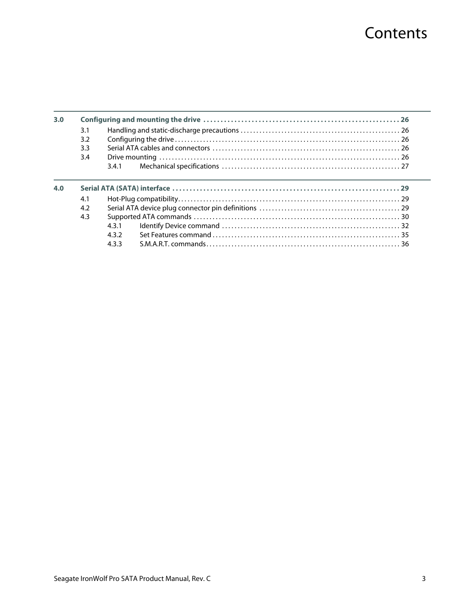# **Contents**

| 3.0 |     |     |  |
|-----|-----|-----|--|
|     | 3.1 |     |  |
|     | 3.2 |     |  |
|     | 3.3 |     |  |
|     | 3.4 |     |  |
|     |     | 341 |  |
|     |     |     |  |
| 4.0 |     |     |  |
|     |     |     |  |
|     | 4.1 |     |  |
|     | 4.2 |     |  |
|     | 4.3 |     |  |
|     |     | 431 |  |
|     |     | 432 |  |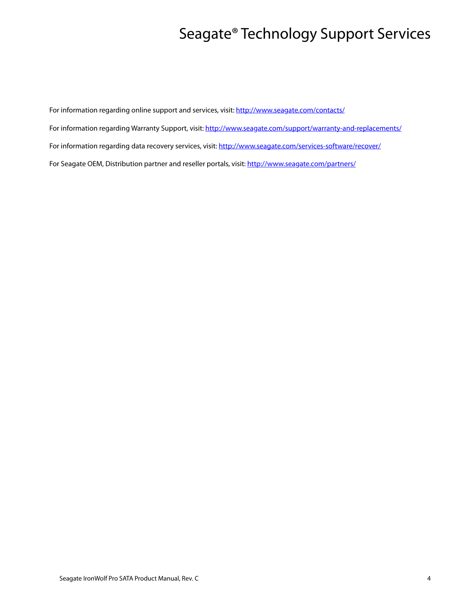# Seagate® Technology Support Services

<span id="page-4-0"></span>For information regarding online support and services, visit: [http://www.sea](http://www.seagate.com/contacts/)gate.com/contacts/ [For information regarding Warranty Support, visit: h](http://www.seagate.com/support/warranty-and-replacements/)ttp://www.seagate.com/support/warranty-and-replacements/ For information regarding data recovery services, visit: [http://www.seagate.com/services-software/recover/](http://www.seagate.com/services-software/data-recovery-services/) [For Seagate OEM, Distribution partner and reseller portals, visit: h](http://www.seagate.com/partners/)ttp://www.seagate.com/partners/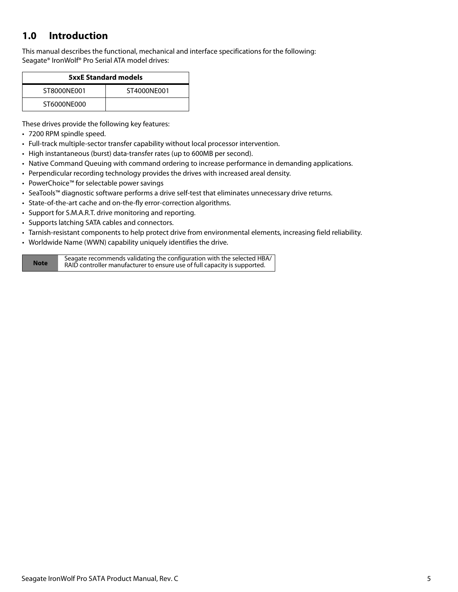# <span id="page-5-0"></span>**1.0 Introduction**

This manual describes the functional, mechanical and interface specifications for the following: Seagate® IronWolf® Pro Serial ATA model drives:

| <b>5xxE Standard models</b> |             |  |  |
|-----------------------------|-------------|--|--|
| ST8000NF001                 | ST4000NF001 |  |  |
| ST6000NE000                 |             |  |  |

These drives provide the following key features:

- 7200 RPM spindle speed.
- Full-track multiple-sector transfer capability without local processor intervention.
- High instantaneous (burst) data-transfer rates (up to 600MB per second).
- Native Command Queuing with command ordering to increase performance in demanding applications.
- Perpendicular recording technology provides the drives with increased areal density.
- PowerChoice™ for selectable power savings
- SeaTools™ diagnostic software performs a drive self-test that eliminates unnecessary drive returns.
- State-of-the-art cache and on-the-fly error-correction algorithms.
- Support for S.M.A.R.T. drive monitoring and reporting.
- Supports latching SATA cables and connectors.
- Tarnish-resistant components to help protect drive from environmental elements, increasing field reliability.
- Worldwide Name (WWN) capability uniquely identifies the drive.

**Note** Seagate recommends validating the configuration with the selected HBA/ RAID controller manufacturer to ensure use of full capacity is supported.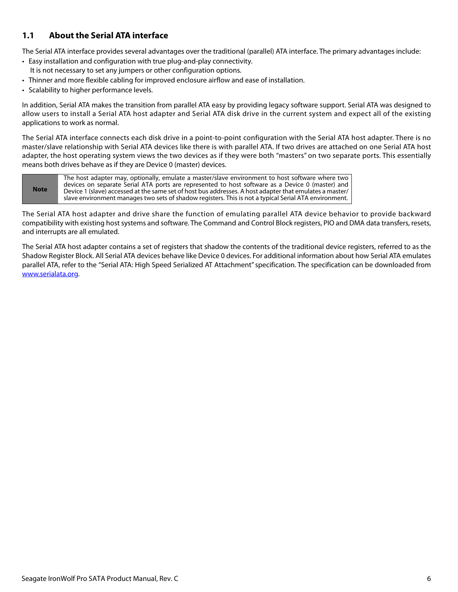# <span id="page-6-0"></span>**1.1 About the Serial ATA interface**

The Serial ATA interface provides several advantages over the traditional (parallel) ATA interface. The primary advantages include:

- Easy installation and configuration with true plug-and-play connectivity. It is not necessary to set any jumpers or other configuration options.
- Thinner and more flexible cabling for improved enclosure airflow and ease of installation.
- Scalability to higher performance levels.

In addition, Serial ATA makes the transition from parallel ATA easy by providing legacy software support. Serial ATA was designed to allow users to install a Serial ATA host adapter and Serial ATA disk drive in the current system and expect all of the existing applications to work as normal.

The Serial ATA interface connects each disk drive in a point-to-point configuration with the Serial ATA host adapter. There is no master/slave relationship with Serial ATA devices like there is with parallel ATA. If two drives are attached on one Serial ATA host adapter, the host operating system views the two devices as if they were both "masters" on two separate ports. This essentially means both drives behave as if they are Device 0 (master) devices.

**Note** The host adapter may, optionally, emulate a master/slave environment to host software where two devices on separate Serial ATA ports are represented to host software as a Device 0 (master) and Device 1 (slave) accessed at the same set of host bus addresses. A host adapter that emulates a master/ slave environment manages two sets of shadow registers. This is not a typical Serial ATA environment.

The Serial ATA host adapter and drive share the function of emulating parallel ATA device behavior to provide backward compatibility with existing host systems and software. The Command and Control Block registers, PIO and DMA data transfers, resets, and interrupts are all emulated.

The Serial ATA host adapter contains a set of registers that shadow the contents of the traditional device registers, referred to as the Shadow Register Block. All Serial ATA devices behave like Device 0 devices. For additional information about how Serial ATA emulates parallel ATA, refer to the "Serial ATA: High Speed Serialized AT Attachment" specification. The specification can be downloaded from [www.serialata.or](http://www.serialata.org)g.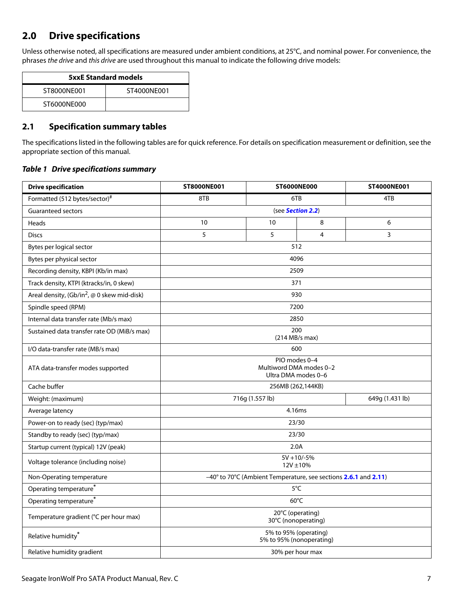# <span id="page-7-0"></span>**2.0 Drive specifications**

Unless otherwise noted, all specifications are measured under ambient conditions, at 25°C, and nominal power. For convenience, the phrases the drive and this drive are used throughout this manual to indicate the following drive models:

| <b>5xxE Standard models</b> |             |  |  |
|-----------------------------|-------------|--|--|
| ST8000NF001                 | ST4000NF001 |  |  |
| ST6000NF000                 |             |  |  |

# <span id="page-7-1"></span>**2.1 Specification summary tables**

The specifications listed in the following tables are for quick reference. For details on specification measurement or definition, see the appropriate section of this manual.

## *Table 1 Drive specifications summary*

| <b>Drive specification</b>                                                                    | <b>ST8000NE001</b>                                              | <b>ST6000NE000</b> |                       | ST4000NE001     |  |
|-----------------------------------------------------------------------------------------------|-----------------------------------------------------------------|--------------------|-----------------------|-----------------|--|
| Formatted (512 bytes/sector)#                                                                 | 8TB<br>6TB                                                      |                    | 4TB                   |                 |  |
| <b>Guaranteed sectors</b>                                                                     | (see Section 2.2)                                               |                    |                       |                 |  |
| Heads                                                                                         | 10                                                              | 10                 | 8                     | 6               |  |
| <b>Discs</b>                                                                                  | 5                                                               | 5                  | $\overline{4}$        | 3               |  |
| Bytes per logical sector                                                                      |                                                                 |                    | 512                   |                 |  |
| Bytes per physical sector                                                                     |                                                                 |                    | 4096                  |                 |  |
| Recording density, KBPI (Kb/in max)                                                           |                                                                 |                    | 2509                  |                 |  |
| Track density, KTPI (ktracks/in, 0 skew)                                                      |                                                                 |                    | 371                   |                 |  |
| Areal density, $\left(\frac{Gb}{in^2}, \text{ } \textcircled{0} \text{ skew mid-disk}\right)$ |                                                                 |                    | 930                   |                 |  |
| Spindle speed (RPM)                                                                           |                                                                 |                    | 7200                  |                 |  |
| Internal data transfer rate (Mb/s max)                                                        |                                                                 |                    | 2850                  |                 |  |
| Sustained data transfer rate OD (MiB/s max)                                                   |                                                                 |                    | 200<br>(214 MB/s max) |                 |  |
| I/O data-transfer rate (MB/s max)                                                             | 600                                                             |                    |                       |                 |  |
| ATA data-transfer modes supported                                                             | PIO modes 0-4<br>Multiword DMA modes 0-2<br>Ultra DMA modes 0-6 |                    |                       |                 |  |
| Cache buffer                                                                                  | 256MB (262,144KB)                                               |                    |                       |                 |  |
| Weight: (maximum)                                                                             | 716g (1.557 lb)                                                 |                    |                       | 649g (1.431 lb) |  |
| Average latency                                                                               |                                                                 |                    | 4.16ms                |                 |  |
| Power-on to ready (sec) (typ/max)                                                             | 23/30                                                           |                    |                       |                 |  |
| Standby to ready (sec) (typ/max)                                                              | 23/30                                                           |                    |                       |                 |  |
| Startup current (typical) 12V (peak)                                                          | 2.0A                                                            |                    |                       |                 |  |
| Voltage tolerance (including noise)                                                           | $5V + 10/-5%$<br>$12V \pm 10%$                                  |                    |                       |                 |  |
| Non-Operating temperature                                                                     | -40° to 70°C (Ambient Temperature, see sections 2.6.1 and 2.11) |                    |                       |                 |  |
| Operating temperature <sup>*</sup>                                                            | $5^{\circ}$ C                                                   |                    |                       |                 |  |
| Operating temperature <sup>*</sup>                                                            | $60^{\circ}$ C                                                  |                    |                       |                 |  |
| Temperature gradient (°C per hour max)                                                        | 20°C (operating)<br>30°C (nonoperating)                         |                    |                       |                 |  |
| Relative humidity*                                                                            | 5% to 95% (operating)<br>5% to 95% (nonoperating)               |                    |                       |                 |  |
| Relative humidity gradient                                                                    |                                                                 |                    | 30% per hour max      |                 |  |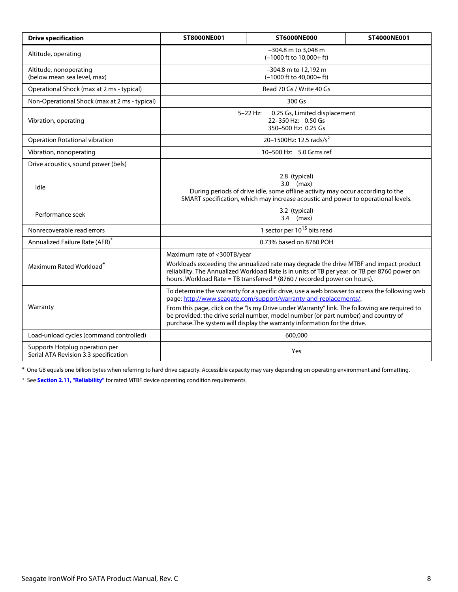| <b>Drive specification</b>                                              | <b>ST8000NE001</b>                                                                                                                                                                                                                                                  | ST4000NE001                         |  |  |
|-------------------------------------------------------------------------|---------------------------------------------------------------------------------------------------------------------------------------------------------------------------------------------------------------------------------------------------------------------|-------------------------------------|--|--|
| Altitude, operating                                                     | -304.8 m to 3,048 m<br>$(-1000$ ft to $10,000+$ ft)                                                                                                                                                                                                                 |                                     |  |  |
| Altitude, nonoperating<br>(below mean sea level, max)                   | -304.8 m to 12,192 m<br>$(-1000$ ft to $40,000+$ ft)                                                                                                                                                                                                                |                                     |  |  |
| Operational Shock (max at 2 ms - typical)                               |                                                                                                                                                                                                                                                                     | Read 70 Gs / Write 40 Gs            |  |  |
| Non-Operational Shock (max at 2 ms - typical)                           |                                                                                                                                                                                                                                                                     | 300 Gs                              |  |  |
| Vibration, operating                                                    | $5 - 22$ Hz:<br>0.25 Gs, Limited displacement<br>22-350 Hz: 0.50 Gs<br>350-500 Hz: 0.25 Gs                                                                                                                                                                          |                                     |  |  |
| Operation Rotational vibration                                          |                                                                                                                                                                                                                                                                     | 20-1500Hz: 12.5 rads/s <sup>2</sup> |  |  |
| Vibration, nonoperating                                                 |                                                                                                                                                                                                                                                                     | 10-500 Hz: 5.0 Grms ref             |  |  |
| Drive acoustics, sound power (bels)                                     |                                                                                                                                                                                                                                                                     |                                     |  |  |
| Idle                                                                    | 2.8 (typical)<br>$3.0$ (max)<br>During periods of drive idle, some offline activity may occur according to the<br>SMART specification, which may increase acoustic and power to operational levels.                                                                 |                                     |  |  |
| Performance seek                                                        | 3.2 (typical)<br>$3.4$ (max)                                                                                                                                                                                                                                        |                                     |  |  |
| Nonrecoverable read errors                                              | 1 sector per 10 <sup>15</sup> bits read                                                                                                                                                                                                                             |                                     |  |  |
| Annualized Failure Rate (AFR)*                                          | 0.73% based on 8760 POH                                                                                                                                                                                                                                             |                                     |  |  |
|                                                                         | Maximum rate of <300TB/year                                                                                                                                                                                                                                         |                                     |  |  |
| Maximum Rated Workload <sup>*</sup>                                     | Workloads exceeding the annualized rate may degrade the drive MTBF and impact product<br>reliability. The Annualized Workload Rate is in units of TB per year, or TB per 8760 power on<br>hours. Workload Rate = TB transferred * (8760 / recorded power on hours). |                                     |  |  |
|                                                                         | To determine the warranty for a specific drive, use a web browser to access the following web<br>page: http://www.seagate.com/support/warranty-and-replacements/.                                                                                                   |                                     |  |  |
| Warranty                                                                | From this page, click on the "Is my Drive under Warranty" link. The following are required to<br>be provided: the drive serial number, model number (or part number) and country of<br>purchase. The system will display the warranty information for the drive.    |                                     |  |  |
| Load-unload cycles (command controlled)                                 | 600,000                                                                                                                                                                                                                                                             |                                     |  |  |
| Supports Hotplug operation per<br>Serial ATA Revision 3.3 specification | Yes                                                                                                                                                                                                                                                                 |                                     |  |  |

# One GB equals one billion bytes when referring to hard drive capacity. Accessible capacity may vary depending on operating environment and formatting.

<span id="page-8-0"></span>\* See **[Section 2.11, "Reliability"](#page-18-0)** for rated MTBF device operating condition requirements.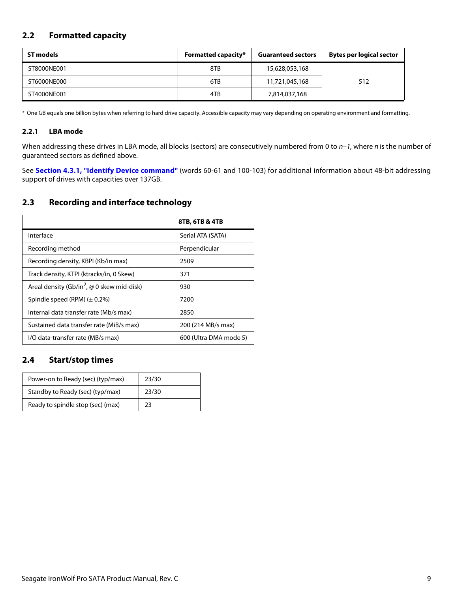# <span id="page-9-0"></span>**2.2 Formatted capacity**

| ST models   | <b>Formatted capacity*</b><br><b>Guaranteed sectors</b> |                | <b>Bytes per logical sector</b> |
|-------------|---------------------------------------------------------|----------------|---------------------------------|
| ST8000NE001 | 8TB                                                     | 15,628,053,168 |                                 |
| ST6000NE000 | 6TB                                                     | 11,721,045,168 | 512                             |
| ST4000NE001 | 4TB                                                     | 7,814,037,168  |                                 |

\* One GB equals one billion bytes when referring to hard drive capacity. Accessible capacity may vary depending on operating environment and formatting.

# <span id="page-9-1"></span>**2.2.1 LBA mode**

When addressing these drives in LBA mode, all blocks (sectors) are consecutively numbered from 0 to  $n-1$ , where n is the number of guaranteed sectors as defined above.

See **[Section 4.3.1, "Identify Device command"](#page-30-0)** (words 60-61 and 100-103) for additional information about 48-bit addressing support of drives with capacities over 137GB.

# <span id="page-9-2"></span>**2.3 Recording and interface technology**

|                                                               | 8TB, 6TB & 4TB         |
|---------------------------------------------------------------|------------------------|
| Interface                                                     | Serial ATA (SATA)      |
| Recording method                                              | Perpendicular          |
| Recording density, KBPI (Kb/in max)                           | 2509                   |
| Track density, KTPI (ktracks/in, 0 Skew)                      | 371                    |
| Areal density (Gb/in <sup>2</sup> , $\omega$ 0 skew mid-disk) | 930                    |
| Spindle speed (RPM) $(\pm 0.2\%)$                             | 7200                   |
| Internal data transfer rate (Mb/s max)                        | 2850                   |
| Sustained data transfer rate (MiB/s max)                      | 200 (214 MB/s max)     |
| I/O data-transfer rate (MB/s max)                             | 600 (Ultra DMA mode 5) |

# <span id="page-9-3"></span>**2.4 Start/stop times**

| Power-on to Ready (sec) (typ/max) | 23/30 |
|-----------------------------------|-------|
| Standby to Ready (sec) (typ/max)  | 23/30 |
| Ready to spindle stop (sec) (max) | 23    |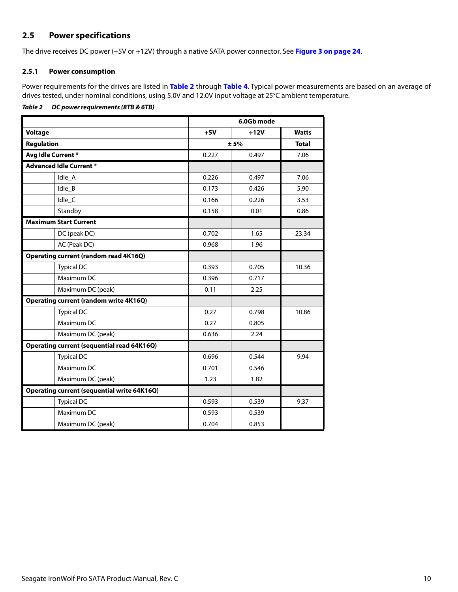# <span id="page-10-0"></span>**2.5 Power specifications**

The drive receives DC power (+5V or +12V) through a native SATA power connector. See **[Figure 3 on page 24](#page-24-5)**.

## <span id="page-10-1"></span>**2.5.1 Power consumption**

Power requirements for the drives are listed in **[Table 2](#page-10-2)** through **Table 4**. Typical power measurements are based on an average of drives tested, under nominal conditions, using 5.0V and 12.0V input voltage at 25°C ambient temperature.

## <span id="page-10-2"></span>*Table 2 DC power requirements (8TB & 6TB)*

|                                                    | 6.0Gb mode |        |              |
|----------------------------------------------------|------------|--------|--------------|
| <b>Voltage</b>                                     | $+5V$      | $+12V$ | <b>Watts</b> |
| <b>Regulation</b>                                  | ± 5%       |        | <b>Total</b> |
| Avg Idle Current*                                  | 0.227      | 0.497  | 7.06         |
| <b>Advanced Idle Current *</b>                     |            |        |              |
| Idle_A                                             | 0.226      | 0.497  | 7.06         |
| Idle_B                                             | 0.173      | 0.426  | 5.90         |
| Idle_C                                             | 0.166      | 0.226  | 3.53         |
| Standby                                            | 0.158      | 0.01   | 0.86         |
| <b>Maximum Start Current</b>                       |            |        |              |
| DC (peak DC)                                       | 0.702      | 1.65   | 23.34        |
| AC (Peak DC)                                       | 0.968      | 1.96   |              |
| <b>Operating current (random read 4K16Q)</b>       |            |        |              |
| <b>Typical DC</b>                                  | 0.393      | 0.705  | 10.36        |
| Maximum DC                                         | 0.396      | 0.717  |              |
| Maximum DC (peak)                                  | 0.11       | 2.25   |              |
| <b>Operating current (random write 4K16Q)</b>      |            |        |              |
| <b>Typical DC</b>                                  | 0.27       | 0.798  | 10.86        |
| Maximum DC                                         | 0.27       | 0.805  |              |
| Maximum DC (peak)                                  | 0.636      | 2.24   |              |
| <b>Operating current (sequential read 64K16Q)</b>  |            |        |              |
| <b>Typical DC</b>                                  | 0.696      | 0.544  | 9.94         |
| Maximum DC                                         | 0.701      | 0.546  |              |
| Maximum DC (peak)                                  | 1.23       | 1.82   |              |
| <b>Operating current (sequential write 64K16Q)</b> |            |        |              |
| <b>Typical DC</b>                                  | 0.593      | 0.539  | 9.37         |
| Maximum DC                                         | 0.593      | 0.539  |              |
| Maximum DC (peak)                                  | 0.704      | 0.853  |              |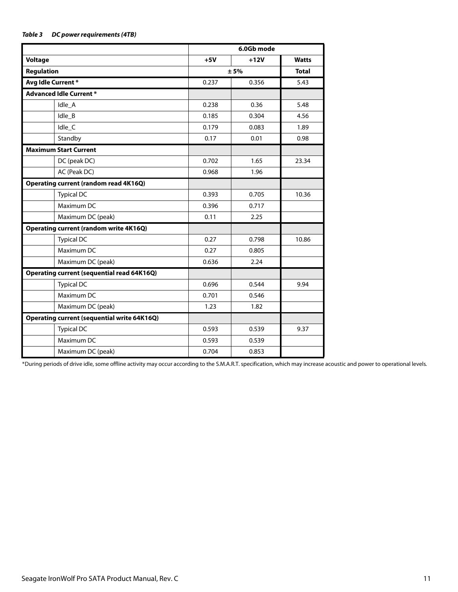## *Table 3 DC power requirements (4TB)*

|                                                    | 6.0Gb mode |        |              |
|----------------------------------------------------|------------|--------|--------------|
| <b>Voltage</b>                                     | $+5V$      | $+12V$ | <b>Watts</b> |
| <b>Regulation</b>                                  |            | ± 5%   |              |
| Avg Idle Current*                                  | 0.237      | 0.356  | 5.43         |
| <b>Advanced Idle Current *</b>                     |            |        |              |
| Idle_A                                             | 0.238      | 0.36   | 5.48         |
| Idle B                                             | 0.185      | 0.304  | 4.56         |
| Idle_C                                             | 0.179      | 0.083  | 1.89         |
| Standby                                            | 0.17       | 0.01   | 0.98         |
| <b>Maximum Start Current</b>                       |            |        |              |
| DC (peak DC)                                       | 0.702      | 1.65   | 23.34        |
| AC (Peak DC)                                       | 0.968      | 1.96   |              |
| Operating current (random read 4K16Q)              |            |        |              |
| <b>Typical DC</b>                                  | 0.393      | 0.705  | 10.36        |
| Maximum DC                                         | 0.396      | 0.717  |              |
| Maximum DC (peak)                                  | 0.11       | 2.25   |              |
| <b>Operating current (random write 4K16Q)</b>      |            |        |              |
| <b>Typical DC</b>                                  | 0.27       | 0.798  | 10.86        |
| Maximum DC                                         | 0.27       | 0.805  |              |
| Maximum DC (peak)                                  | 0.636      | 2.24   |              |
| Operating current (sequential read 64K16Q)         |            |        |              |
| <b>Typical DC</b>                                  | 0.696      | 0.544  | 9.94         |
| Maximum DC                                         | 0.701      | 0.546  |              |
| Maximum DC (peak)                                  | 1.23       | 1.82   |              |
| <b>Operating current (sequential write 64K16Q)</b> |            |        |              |
| <b>Typical DC</b>                                  | 0.593      | 0.539  | 9.37         |
| Maximum DC                                         | 0.593      | 0.539  |              |
| Maximum DC (peak)                                  | 0.704      | 0.853  |              |

\*During periods of drive idle, some offline activity may occur according to the S.M.A.R.T. specification, which may increase acoustic and power to operational levels.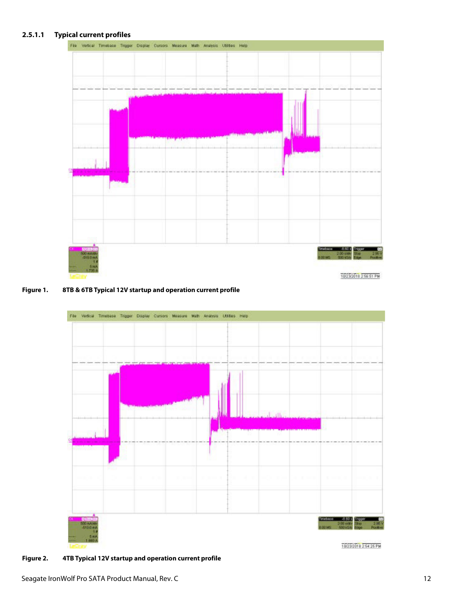# **2.5.1.1 Typical current profiles**



#### **Figure 1. 8TB & 6TB Typical 12V startup and operation current profile**



**Figure 2. 4TB Typical 12V startup and operation current profile**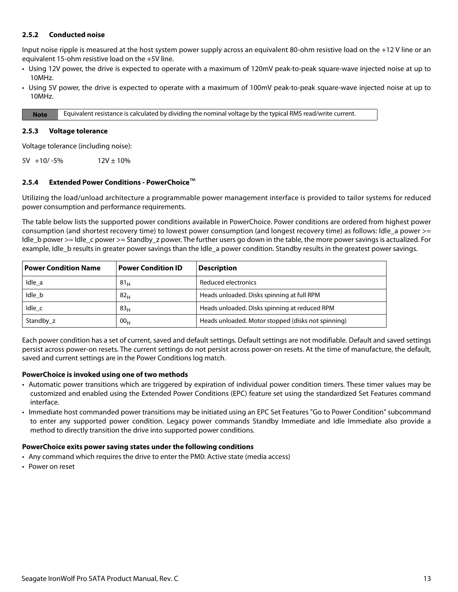## <span id="page-13-0"></span>**2.5.2 Conducted noise**

Input noise ripple is measured at the host system power supply across an equivalent 80-ohm resistive load on the +12 V line or an equivalent 15-ohm resistive load on the +5V line.

- Using 12V power, the drive is expected to operate with a maximum of 120mV peak-to-peak square-wave injected noise at up to 10MHz.
- Using 5V power, the drive is expected to operate with a maximum of 100mV peak-to-peak square-wave injected noise at up to 10MHz.

**Note** Equivalent resistance is calculated by dividing the nominal voltage by the typical RMS read/write current.

#### <span id="page-13-1"></span>**2.5.3 Voltage tolerance**

Voltage tolerance (including noise):

 $5V +10/-5%$  12V ± 10%

#### <span id="page-13-2"></span>**2.5.4 Extended Power Conditions - PowerChoice**™

Utilizing the load/unload architecture a programmable power management interface is provided to tailor systems for reduced power consumption and performance requirements.

The table below lists the supported power conditions available in PowerChoice. Power conditions are ordered from highest power consumption (and shortest recovery time) to lowest power consumption (and longest recovery time) as follows: Idle\_a power >= Idle b power >= Idle c power >= Standby z power. The further users go down in the table, the more power savings is actualized. For example, Idle b results in greater power savings than the Idle a power condition. Standby results in the greatest power savings.

| <b>Power Condition Name</b> | <b>Power Condition ID</b> | <b>Description</b>                                 |
|-----------------------------|---------------------------|----------------------------------------------------|
| Idle a                      | 81 <sub>H</sub>           | Reduced electronics                                |
| Idle b                      | 82 <sub>H</sub>           | Heads unloaded. Disks spinning at full RPM         |
| Idle c                      | 83 <sub>H</sub>           | Heads unloaded. Disks spinning at reduced RPM      |
| Standby z                   | 00 <sub>H</sub>           | Heads unloaded. Motor stopped (disks not spinning) |

Each power condition has a set of current, saved and default settings. Default settings are not modifiable. Default and saved settings persist across power-on resets. The current settings do not persist across power-on resets. At the time of manufacture, the default, saved and current settings are in the Power Conditions log match.

#### **PowerChoice is invoked using one of two methods**

- Automatic power transitions which are triggered by expiration of individual power condition timers. These timer values may be customized and enabled using the Extended Power Conditions (EPC) feature set using the standardized Set Features command interface.
- Immediate host commanded power transitions may be initiated using an EPC Set Features "Go to Power Condition" subcommand to enter any supported power condition. Legacy power commands Standby Immediate and Idle Immediate also provide a method to directly transition the drive into supported power conditions.

#### **PowerChoice exits power saving states under the following conditions**

- Any command which requires the drive to enter the PM0: Active state (media access)
- Power on reset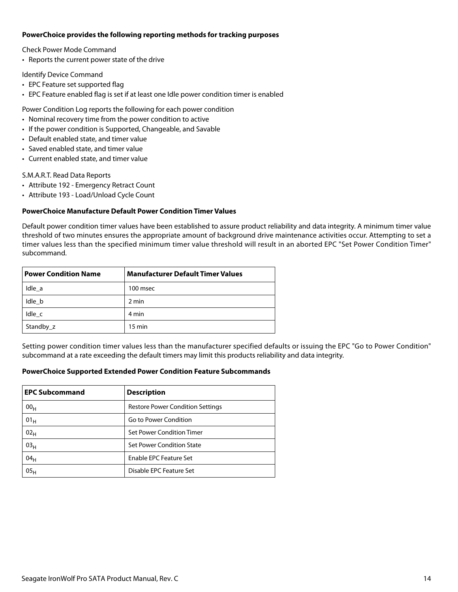#### **PowerChoice provides the following reporting methods for tracking purposes**

Check Power Mode Command

• Reports the current power state of the drive

Identify Device Command

- EPC Feature set supported flag
- EPC Feature enabled flag is set if at least one Idle power condition timer is enabled

Power Condition Log reports the following for each power condition

- Nominal recovery time from the power condition to active
- If the power condition is Supported, Changeable, and Savable
- Default enabled state, and timer value
- Saved enabled state, and timer value
- Current enabled state, and timer value

S.M.A.R.T. Read Data Reports

- Attribute 192 Emergency Retract Count
- Attribute 193 Load/Unload Cycle Count

## **PowerChoice Manufacture Default Power Condition Timer Values**

Default power condition timer values have been established to assure product reliability and data integrity. A minimum timer value threshold of two minutes ensures the appropriate amount of background drive maintenance activities occur. Attempting to set a timer values less than the specified minimum timer value threshold will result in an aborted EPC "Set Power Condition Timer" subcommand.

| <b>Power Condition Name</b> | <b>Manufacturer Default Timer Values</b> |  |
|-----------------------------|------------------------------------------|--|
| Idle a                      | 100 msec                                 |  |
| Idle b                      | 2 min                                    |  |
| Idle c                      | 4 min                                    |  |
| Standby_z                   | $15 \text{ min}$                         |  |

Setting power condition timer values less than the manufacturer specified defaults or issuing the EPC "Go to Power Condition" subcommand at a rate exceeding the default timers may limit this products reliability and data integrity.

#### **PowerChoice Supported Extended Power Condition Feature Subcommands**

| <b>EPC Subcommand</b> | <b>Description</b>                      |
|-----------------------|-----------------------------------------|
| 00 <sub>H</sub>       | <b>Restore Power Condition Settings</b> |
| $01_H$                | Go to Power Condition                   |
| 02 <sub>H</sub>       | Set Power Condition Timer               |
| 03 <sub>H</sub>       | Set Power Condition State               |
| 04 <sub>H</sub>       | Enable EPC Feature Set                  |
| 05 <sub>H</sub>       | Disable EPC Feature Set                 |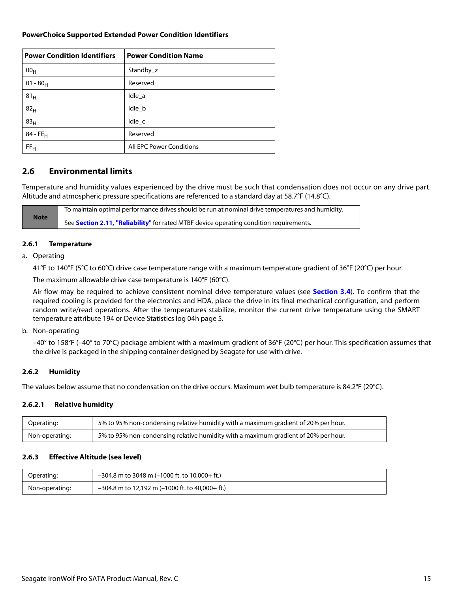## **PowerChoice Supported Extended Power Condition Identifiers**

| <b>Power Condition Identifiers</b> | <b>Power Condition Name</b> |
|------------------------------------|-----------------------------|
| 00 <sub>H</sub>                    | Standby z                   |
| $01 - 80_H$                        | Reserved                    |
| 81 <sub>H</sub>                    | Idle_a                      |
| 82 <sub>H</sub>                    | Idle_b                      |
| 83 <sub>H</sub>                    | Idle_c                      |
| $84 - FE_H$                        | Reserved                    |
| FF <sub>H</sub>                    | All EPC Power Conditions    |

# <span id="page-15-0"></span>**2.6 Environmental limits**

Temperature and humidity values experienced by the drive must be such that condensation does not occur on any drive part. Altitude and atmospheric pressure specifications are referenced to a standard day at 58.7°F (14.8°C).

**Note** To maintain optimal performance drives should be run at nominal drive temperatures and humidity. See **[Section 2.11, "Reliability"](#page-18-0)** for rated MTBF device operating condition requirements.

## <span id="page-15-1"></span>**2.6.1 Temperature**

a. Operating

41°F to 140°F (5°C to 60°C) drive case temperature range with a maximum temperature gradient of 36°F (20°C) per hour.

The maximum allowable drive case temperature is 140°F (60°C).

Air flow may be required to achieve consistent nominal drive temperature values (see **[Section 3.4](#page-24-4)**). To confirm that the required cooling is provided for the electronics and HDA, place the drive in its final mechanical configuration, and perform random write/read operations. After the temperatures stabilize, monitor the current drive temperature using the SMART temperature attribute 194 or Device Statistics log 04h page 5.

b. Non-operating

–40° to 158°F (–40° to 70°C) package ambient with a maximum gradient of 36°F (20°C) per hour. This specification assumes that the drive is packaged in the shipping container designed by Seagate for use with drive.

## <span id="page-15-2"></span>**2.6.2 Humidity**

The values below assume that no condensation on the drive occurs. Maximum wet bulb temperature is 84.2°F (29°C).

## **2.6.2.1 Relative humidity**

| Operating:     | 5% to 95% non-condensing relative humidity with a maximum gradient of 20% per hour. |
|----------------|-------------------------------------------------------------------------------------|
| Non-operating: | 5% to 95% non-condensing relative humidity with a maximum gradient of 20% per hour. |

#### <span id="page-15-3"></span>**2.6.3 Effective Altitude (sea level)**

| Operating:     | $-304.8$ m to 3048 m (-1000 ft. to 10,000+ ft.)   |
|----------------|---------------------------------------------------|
| Non-operating: | $-304.8$ m to 12,192 m (-1000 ft. to 40,000+ ft.) |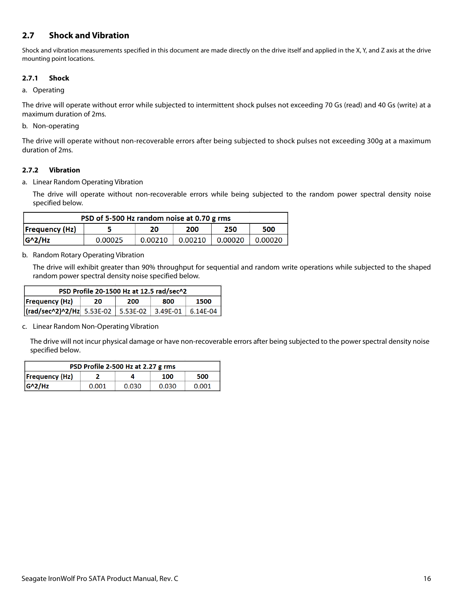# **2.7 Shock and Vibration**

Shock and vibration measurements specified in this document are made directly on the drive itself and applied in the X, Y, and Z axis at the drive mounting point locations.

## **2.7.1 Shock**

#### a. Operating

The drive will operate without error while subjected to intermittent shock pulses not exceeding 70 Gs (read) and 40 Gs (write) at a maximum duration of 2ms.

## b. Non-operating

The drive will operate without non-recoverable errors after being subjected to shock pulses not exceeding 300g at a maximum duration of 2ms.

## **2.7.2 Vibration**

a. Linear Random Operating Vibration

The drive will operate without non-recoverable errors while being subjected to the random power spectral density noise specified below.

| PSD of 5-500 Hz random noise at 0.70 g rms                      |  |  |  |  |  |  |
|-----------------------------------------------------------------|--|--|--|--|--|--|
| <b>Frequency (Hz)</b><br>250<br>200<br>500<br>20                |  |  |  |  |  |  |
| $G^2/Hz$<br>0.00210<br>0.00210<br>0.00020<br>0.00025<br>0.00020 |  |  |  |  |  |  |

## b. Random Rotary Operating Vibration

The drive will exhibit greater than 90% throughput for sequential and random write operations while subjected to the shaped random power spectral density noise specified below.

| PSD Profile 20-1500 Hz at 12.5 rad/sec^2          |  |  |  |  |  |
|---------------------------------------------------|--|--|--|--|--|
| <b>Frequency (Hz)</b><br>1500<br>200<br>800<br>20 |  |  |  |  |  |
|                                                   |  |  |  |  |  |

c. Linear Random Non-Operating Vibration

The drive will not incur physical damage or have non-recoverable errors after being subjected to the power spectral density noise specified below.

| PSD Profile 2-500 Hz at 2.27 g rms |       |       |       |       |  |  |
|------------------------------------|-------|-------|-------|-------|--|--|
| Frequency(Hz) <br>500<br>100       |       |       |       |       |  |  |
| $ G^2/HZ $                         | 0.001 | 0.030 | 0.030 | 0.001 |  |  |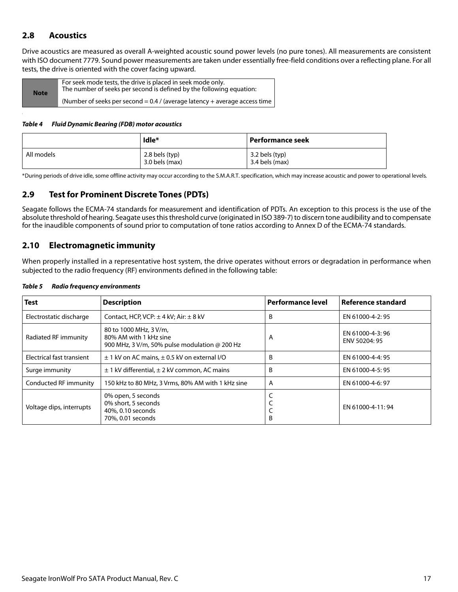# <span id="page-17-0"></span>**2.8 Acoustics**

Drive acoustics are measured as overall A-weighted acoustic sound power levels (no pure tones). All measurements are consistent with ISO document 7779. Sound power measurements are taken under essentially free-field conditions over a reflecting plane. For all tests, the drive is oriented with the cover facing upward.

| <b>Note</b> | For seek mode tests, the drive is placed in seek mode only.<br>The number of seeks per second is defined by the following equation: |
|-------------|-------------------------------------------------------------------------------------------------------------------------------------|
|             | (Number of seeks per second $= 0.4$ / (average latency + average access time )                                                      |

#### *Table 4 Fluid Dynamic Bearing (FDB) motor acoustics*

|            | Idle*                                | Performance seek                 |
|------------|--------------------------------------|----------------------------------|
| All models | $2.8$ bels (typ)<br>$3.0$ bels (max) | 3.2 bels (typ)<br>3.4 bels (max) |

\*During periods of drive idle, some offline activity may occur according to the S.M.A.R.T. specification, which may increase acoustic and power to operational levels.

# <span id="page-17-1"></span>**2.9 Test for Prominent Discrete Tones (PDTs)**

Seagate follows the ECMA-74 standards for measurement and identification of PDTs. An exception to this process is the use of the absolute threshold of hearing. Seagate uses this threshold curve (originated in ISO 389-7) to discern tone audibility and to compensate for the inaudible components of sound prior to computation of tone ratios according to Annex D of the ECMA-74 standards.

# <span id="page-17-2"></span>**2.10 Electromagnetic immunity**

When properly installed in a representative host system, the drive operates without errors or degradation in performance when subjected to the radio frequency (RF) environments defined in the following table:

| <b>Test</b>               | <b>Description</b>                                                                                       | <b>Performance level</b> | Reference standard               |
|---------------------------|----------------------------------------------------------------------------------------------------------|--------------------------|----------------------------------|
| Electrostatic discharge   | Contact, HCP, VCP: $\pm$ 4 kV; Air: $\pm$ 8 kV                                                           | B                        | EN 61000-4-2: 95                 |
| Radiated RF immunity      | 80 to 1000 MHz, 3 V/m,<br>80% AM with 1 kHz sine<br>900 MHz, 3 V/m, 50% pulse modulation $\omega$ 200 Hz | A                        | EN 61000-4-3:96<br>ENV 50204: 95 |
| Electrical fast transient | $\pm$ 1 kV on AC mains, $\pm$ 0.5 kV on external I/O                                                     | B                        | EN 61000-4-4: 95                 |
| Surge immunity            | $\pm$ 1 kV differential, $\pm$ 2 kV common, AC mains                                                     | B                        | EN 61000-4-5: 95                 |
| Conducted RF immunity     | 150 kHz to 80 MHz, 3 Vrms, 80% AM with 1 kHz sine                                                        | A                        | EN 61000-4-6: 97                 |
| Voltage dips, interrupts  | 0% open, 5 seconds<br>0% short, 5 seconds<br>40%, 0.10 seconds<br>70%, 0.01 seconds                      | B                        | EN 61000-4-11:94                 |

#### *Table 5 Radio frequency environments*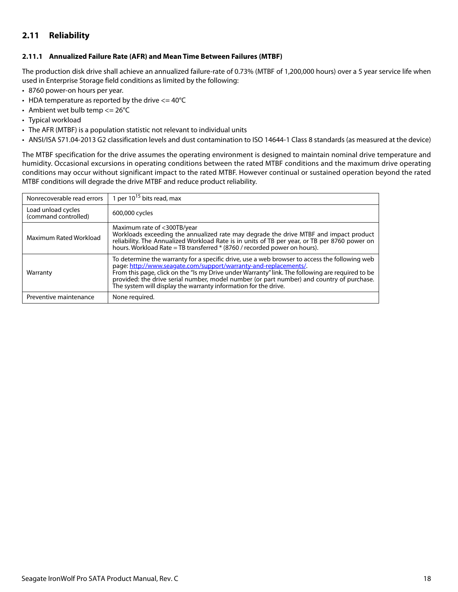# <span id="page-18-0"></span>**2.11 Reliability**

### <span id="page-18-1"></span>**2.11.1 Annualized Failure Rate (AFR) and Mean Time Between Failures (MTBF)**

The production disk drive shall achieve an annualized failure-rate of 0.73% (MTBF of 1,200,000 hours) over a 5 year service life when used in Enterprise Storage field conditions as limited by the following:

- 8760 power-on hours per year.
- HDA temperature as reported by the drive  $\epsilon$  = 40°C
- Ambient wet bulb temp  $<= 26^{\circ}C$
- Typical workload
- The AFR (MTBF) is a population statistic not relevant to individual units
- ANSI/ISA S71.04-2013 G2 classification levels and dust contamination to ISO 14644-1 Class 8 standards (as measured at the device)

The MTBF specification for the drive assumes the operating environment is designed to maintain nominal drive temperature and humidity. Occasional excursions in operating conditions between the rated MTBF conditions and the maximum drive operating conditions may occur without significant impact to the rated MTBF. However continual or sustained operation beyond the rated MTBF conditions will degrade the drive MTBF and reduce product reliability.

| Nonrecoverable read errors                 | 1 per $10^{15}$ bits read, max                                                                                                                                                                                                                                                                                                                                                                                                        |
|--------------------------------------------|---------------------------------------------------------------------------------------------------------------------------------------------------------------------------------------------------------------------------------------------------------------------------------------------------------------------------------------------------------------------------------------------------------------------------------------|
| Load unload cycles<br>(command controlled) | 600,000 cycles                                                                                                                                                                                                                                                                                                                                                                                                                        |
| Maximum Rated Workload                     | Maximum rate of <300TB/year<br>Workloads exceeding the annualized rate may degrade the drive MTBF and impact product<br>reliability. The Annualized Workload Rate is in units of TB per year, or TB per 8760 power on<br>hours. Workload Rate = TB transferred * (8760 / recorded power on hours).                                                                                                                                    |
| Warranty                                   | To determine the warranty for a specific drive, use a web browser to access the following web<br>page: http://www.seagate.com/support/warranty-and-replacements/.<br>From this page, click on the "Is my Drive under Warranty" link. The following are required to be<br>provided: the drive serial number, model number (or part number) and country of purchase.<br>The system will display the warranty information for the drive. |
| Preventive maintenance                     | None required.                                                                                                                                                                                                                                                                                                                                                                                                                        |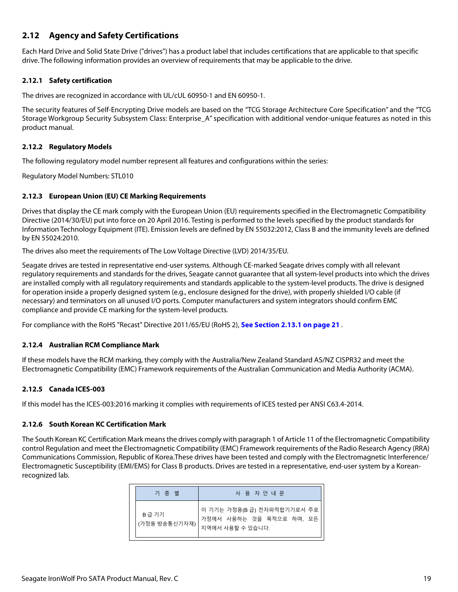# <span id="page-19-0"></span>**2.12 Agency and Safety Certifications**

Each Hard Drive and Solid State Drive ("drives") has a product label that includes certifications that are applicable to that specific drive. The following information provides an overview of requirements that may be applicable to the drive.

# <span id="page-19-1"></span>**2.12.1 Safety certification**

The drives are recognized in accordance with UL/cUL 60950-1 and EN 60950-1.

The security features of Self-Encrypting Drive models are based on the "TCG Storage Architecture Core Specification" and the "TCG Storage Workgroup Security Subsystem Class: Enterprise A" specification with additional vendor-unique features as noted in this product manual.

## <span id="page-19-2"></span>**2.12.2 Regulatory Models**

The following regulatory model number represent all features and configurations within the series:

Regulatory Model Numbers: STL010

## <span id="page-19-3"></span>**2.12.3 European Union (EU) CE Marking Requirements**

Drives that display the CE mark comply with the European Union (EU) requirements specified in the Electromagnetic Compatibility Directive (2014/30/EU) put into force on 20 April 2016. Testing is performed to the levels specified by the product standards for Information Technology Equipment (ITE). Emission levels are defined by EN 55032:2012, Class B and the immunity levels are defined by EN 55024:2010.

The drives also meet the requirements of The Low Voltage Directive (LVD) 2014/35/EU.

Seagate drives are tested in representative end-user systems. Although CE-marked Seagate drives comply with all relevant regulatory requirements and standards for the drives, Seagate cannot guarantee that all system-level products into which the drives are installed comply with all regulatory requirements and standards applicable to the system-level products. The drive is designed for operation inside a properly designed system (e.g., enclosure designed for the drive), with properly shielded I/O cable (if necessary) and terminators on all unused I/O ports. Computer manufacturers and system integrators should confirm EMC compliance and provide CE marking for the system-level products.

For compliance with the RoHS "Recast" Directive 2011/65/EU (RoHS 2), **[See Section 2.13.1 on page 21](#page-21-1)** .

## <span id="page-19-4"></span>**2.12.4 Australian RCM Compliance Mark**

If these models have the RCM marking, they comply with the Australia/New Zealand Standard AS/NZ CISPR32 and meet the Electromagnetic Compatibility (EMC) Framework requirements of the Australian Communication and Media Authority (ACMA).

## <span id="page-19-5"></span>**2.12.5 Canada ICES-003**

If this model has the ICES-003:2016 marking it complies with requirements of ICES tested per ANSI C63.4-2014.

## <span id="page-19-6"></span>**2.12.6 South Korean KC Certification Mark**

The South Korean KC Certification Mark means the drives comply with paragraph 1 of Article 11 of the Electromagnetic Compatibility control Regulation and meet the Electromagnetic Compatibility (EMC) Framework requirements of the Radio Research Agency (RRA) Communications Commission, Republic of Korea.These drives have been tested and comply with the Electromagnetic Interference/ Electromagnetic Susceptibility (EMI/EMS) for Class B products. Drives are tested in a representative, end-user system by a Koreanrecognized lab.

| 기 종 별                  | 사 용 자 안 내 문                                                                 |
|------------------------|-----------------------------------------------------------------------------|
| B급 기기<br>(가정용 방송통신기자재) | 이 기기는 가정용(B 급) 전자파적합기기로서 주로<br>가정에서 사용하는 것을 목적으로 하며, 모든<br>지역에서 사용할 수 있습니다. |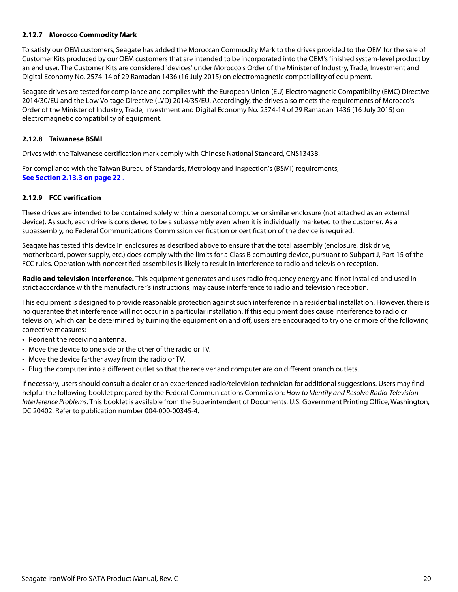## <span id="page-20-0"></span>**2.12.7 Morocco Commodity Mark**

To satisfy our OEM customers, Seagate has added the Moroccan Commodity Mark to the drives provided to the OEM for the sale of Customer Kits produced by our OEM customers that are intended to be incorporated into the OEM's finished system-level product by an end user. The Customer Kits are considered 'devices' under Morocco's Order of the Minister of Industry, Trade, Investment and Digital Economy No. 2574-14 of 29 Ramadan 1436 (16 July 2015) on electromagnetic compatibility of equipment.

Seagate drives are tested for compliance and complies with the European Union (EU) Electromagnetic Compatibility (EMC) Directive 2014/30/EU and the Low Voltage Directive (LVD) 2014/35/EU. Accordingly, the drives also meets the requirements of Morocco's Order of the Minister of Industry, Trade, Investment and Digital Economy No. 2574-14 of 29 Ramadan 1436 (16 July 2015) on electromagnetic compatibility of equipment.

#### <span id="page-20-1"></span>**2.12.8 Taiwanese BSMI**

Drives with the Taiwanese certification mark comply with Chinese National Standard, CNS13438.

For compliance with the Taiwan Bureau of Standards, Metrology and Inspection's (BSMI) requirements, **[See Section 2.13.3 on page 22](#page-22-0)** .

## <span id="page-20-2"></span>**2.12.9 FCC verification**

These drives are intended to be contained solely within a personal computer or similar enclosure (not attached as an external device). As such, each drive is considered to be a subassembly even when it is individually marketed to the customer. As a subassembly, no Federal Communications Commission verification or certification of the device is required.

Seagate has tested this device in enclosures as described above to ensure that the total assembly (enclosure, disk drive, motherboard, power supply, etc.) does comply with the limits for a Class B computing device, pursuant to Subpart J, Part 15 of the FCC rules. Operation with noncertified assemblies is likely to result in interference to radio and television reception.

**Radio and television interference.** This equipment generates and uses radio frequency energy and if not installed and used in strict accordance with the manufacturer's instructions, may cause interference to radio and television reception.

This equipment is designed to provide reasonable protection against such interference in a residential installation. However, there is no guarantee that interference will not occur in a particular installation. If this equipment does cause interference to radio or television, which can be determined by turning the equipment on and off, users are encouraged to try one or more of the following corrective measures:

- Reorient the receiving antenna.
- Move the device to one side or the other of the radio or TV.
- Move the device farther away from the radio or TV.
- Plug the computer into a different outlet so that the receiver and computer are on different branch outlets.

If necessary, users should consult a dealer or an experienced radio/television technician for additional suggestions. Users may find helpful the following booklet prepared by the Federal Communications Commission: How to Identify and Resolve Radio-Television Interference Problems. This booklet is available from the Superintendent of Documents, U.S. Government Printing Office, Washington, DC 20402. Refer to publication number 004-000-00345-4.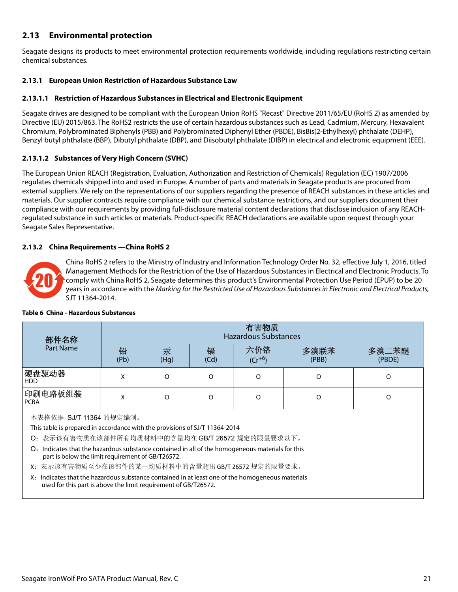# <span id="page-21-0"></span>**2.13 Environmental protection**

Seagate designs its products to meet environmental protection requirements worldwide, including regulations restricting certain chemical substances.

# <span id="page-21-1"></span>**2.13.1 European Union Restriction of Hazardous Substance Law**

# **2.13.1.1 Restriction of Hazardous Substances in Electrical and Electronic Equipment**

Seagate drives are designed to be compliant with the European Union RoHS "Recast" Directive 2011/65/EU (RoHS 2) as amended by Directive (EU) 2015/863. The RoHS2 restricts the use of certain hazardous substances such as Lead, Cadmium, Mercury, Hexavalent Chromium, Polybrominated Biphenyls (PBB) and Polybrominated Diphenyl Ether (PBDE), BisBis(2-Ethylhexyl) phthalate (DEHP), Benzyl butyl phthalate (BBP), Dibutyl phthalate (DBP), and Diisobutyl phthalate (DIBP) in electrical and electronic equipment (EEE).

# **2.13.1.2 Substances of Very High Concern (SVHC)**

The European Union REACH (Registration, Evaluation, Authorization and Restriction of Chemicals) Regulation (EC) 1907/2006 regulates chemicals shipped into and used in Europe. A number of parts and materials in Seagate products are procured from external suppliers. We rely on the representations of our suppliers regarding the presence of REACH substances in these articles and materials. Our supplier contracts require compliance with our chemical substance restrictions, and our suppliers document their compliance with our requirements by providing full-disclosure material content declarations that disclose inclusion of any REACHregulated substance in such articles or materials. Product-specific REACH declarations are available upon request through your Seagate Sales Representative.

## <span id="page-21-2"></span>**2.13.2 China Requirements —China RoHS 2**



China RoHS 2 refers to the Ministry of Industry and Information Technology Order No. 32, effective July 1, 2016, titled Management Methods for the Restriction of the Use of Hazardous Substances in Electrical and Electronic Products. To comply with China RoHS 2, Seagate determines this product's Environmental Protection Use Period (EPUP) to be 20 years in accordance with the Marking for the Restricted Use of Hazardous Substances in Electronic and Electrical Products, SJT 11364-2014.

| 部件名称                                                                                                                                                                | 有害物质<br><b>Hazardous Substances</b> |           |           |                    |               |                 |
|---------------------------------------------------------------------------------------------------------------------------------------------------------------------|-------------------------------------|-----------|-----------|--------------------|---------------|-----------------|
| Part Name                                                                                                                                                           | 铅<br>(Pb)                           | 汞<br>(Hq) | 镉<br>(Cd) | 六价铬<br>$(Cr^{+6})$ | 多溴联苯<br>(PBB) | 多溴二苯醚<br>(PBDE) |
| 硬盘驱动器<br><b>HDD</b>                                                                                                                                                 | X                                   | $\Omega$  | O         | $\Omega$           | O             | O               |
| 印刷电路板组装<br><b>PCBA</b>                                                                                                                                              | X                                   |           | $\Omega$  | $\Omega$           | O             | O               |
| 本表格依据 SJ/T 11364 的规定编制。<br>This table is prepared in accordance with the provisions of SJ/T 11364-2014<br>O: 表示该有害物质在该部件所有均质材料中的含量均在 GB/T 26572 规定的限量要求以下。          |                                     |           |           |                    |               |                 |
| Indicates that the hazardous substance contained in all of the homogeneous materials for this<br>O:<br>part is below the limit requirement of GB/T26572.            |                                     |           |           |                    |               |                 |
| X: 表示该有害物质至少在该部件的某一均质材料中的含量超出 GB/T 26572 规定的限量要求。                                                                                                                   |                                     |           |           |                    |               |                 |
| X: Indicates that the hazardous substance contained in at least one of the homogeneous materials<br>used for this part is above the limit requirement of GB/T26572. |                                     |           |           |                    |               |                 |

#### **Table 6 China - Hazardous Substances**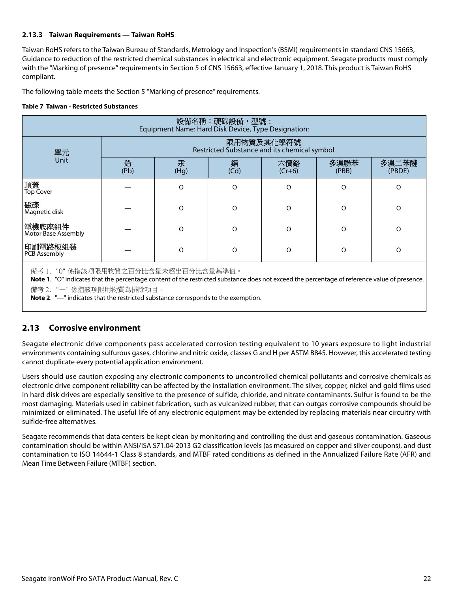## <span id="page-22-0"></span>**2.13.3 Taiwan Requirements — Taiwan RoHS**

Taiwan RoHS refers to the Taiwan Bureau of Standards, Metrology and Inspection's (BSMI) requirements in standard CNS 15663, Guidance to reduction of the restricted chemical substances in electrical and electronic equipment. Seagate products must comply with the "Marking of presence" requirements in Section 5 of CNS 15663, effective January 1, 2018. This product is Taiwan RoHS compliant.

The following table meets the Section 5 "Marking of presence" requirements.

#### **Table 7 Taiwan - Restricted Substances**

| 設備名稱:硬碟設備,型號﹕<br>Equipment Name: Hard Disk Device, Type Designation:                                                                                                                                                                                                                                                |                                                            |           |           |                 |               |                 |  |
|---------------------------------------------------------------------------------------------------------------------------------------------------------------------------------------------------------------------------------------------------------------------------------------------------------------------|------------------------------------------------------------|-----------|-----------|-----------------|---------------|-----------------|--|
| 單元                                                                                                                                                                                                                                                                                                                  | 限用物質及其化學符號<br>Restricted Substance and its chemical symbol |           |           |                 |               |                 |  |
| <b>Unit</b>                                                                                                                                                                                                                                                                                                         | 鉛<br>(Pb)                                                  | 汞<br>(Hg) | 銿<br>(Cd) | 六價鉻<br>$(Cr+6)$ | 多溴聯苯<br>(PBB) | 多溴二苯醚<br>(PBDE) |  |
| 頂蓋<br><b>Top Cover</b>                                                                                                                                                                                                                                                                                              |                                                            | O         | O         | O               | $\Omega$      | O               |  |
| 磁碟<br>Magnetic disk                                                                                                                                                                                                                                                                                                 |                                                            | $\circ$   | $\Omega$  | $\Omega$        | O             | $\Omega$        |  |
| 電機底座組件<br><b>Motor Base Assembly</b>                                                                                                                                                                                                                                                                                |                                                            | $\Omega$  | $\Omega$  | $\Omega$        | $\Omega$      | $\Omega$        |  |
| 印刷電路板组装<br><b>PCB Assembly</b>                                                                                                                                                                                                                                                                                      |                                                            | $\Omega$  | $\Omega$  | $\Omega$        | $\Omega$      | O               |  |
| 備考 1. "0" 係指該项限用物質之百分比含量未超出百分比含量基準值。<br><b>Note 1.</b> "O" indicates that the percentage content of the restricted substance does not exceed the percentage of reference value of presence.<br>備考 2. "一" 係指該项限用物質為排除項目。<br><b>Note 2.</b> "-" indicates that the restricted substance corresponds to the exemption. |                                                            |           |           |                 |               |                 |  |

## <span id="page-22-1"></span>**2.13 Corrosive environment**

Seagate electronic drive components pass accelerated corrosion testing equivalent to 10 years exposure to light industrial environments containing sulfurous gases, chlorine and nitric oxide, classes G and H per ASTM B845. However, this accelerated testing cannot duplicate every potential application environment.

Users should use caution exposing any electronic components to uncontrolled chemical pollutants and corrosive chemicals as electronic drive component reliability can be affected by the installation environment. The silver, copper, nickel and gold films used in hard disk drives are especially sensitive to the presence of sulfide, chloride, and nitrate contaminants. Sulfur is found to be the most damaging. Materials used in cabinet fabrication, such as vulcanized rubber, that can outgas corrosive compounds should be minimized or eliminated. The useful life of any electronic equipment may be extended by replacing materials near circuitry with sulfide-free alternatives.

Seagate recommends that data centers be kept clean by monitoring and controlling the dust and gaseous contamination. Gaseous contamination should be within ANSI/ISA S71.04-2013 G2 classification levels (as measured on copper and silver coupons), and dust contamination to ISO 14644-1 Class 8 standards, and MTBF rated conditions as defined in the Annualized Failure Rate (AFR) and Mean Time Between Failure (MTBF) section.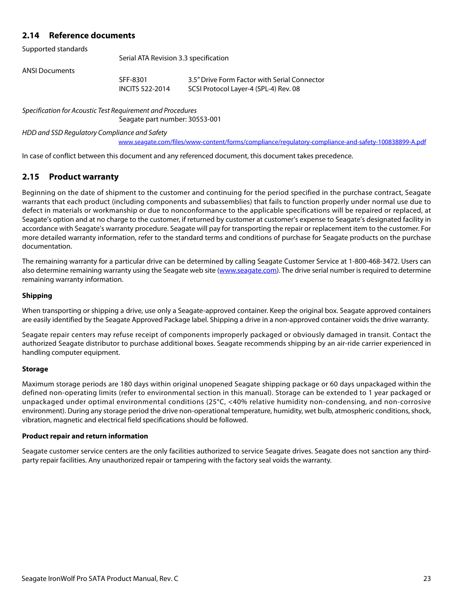# <span id="page-23-0"></span>**2.14 Reference documents**

Supported standards

Serial ATA Revision 3.3 specification

ANSI Documents

SFF-8301 3.5" Drive Form Factor with Serial Connector INCITS 522-2014 SCSI Protocol Layer-4 (SPL-4) Rev. 08

Specification for Acoustic Test Requirement and Procedures

Seagate part number: 30553-001

HDD and SSD Regulatory Compliance and Safety

[w](www.seagate.com/files/www-content/forms/compliance/regulatory-compliance-and-safety-100838899-A.pdf)ww.seagate.com/files/www-content/forms/compliance/regulatory-compliance-and-safety-100838899-A.pdf

In case of conflict between this document and any referenced document, this document takes precedence.

# <span id="page-23-1"></span>**2.15 Product warranty**

Beginning on the date of shipment to the customer and continuing for the period specified in the purchase contract, Seagate warrants that each product (including components and subassemblies) that fails to function properly under normal use due to defect in materials or workmanship or due to nonconformance to the applicable specifications will be repaired or replaced, at Seagate's option and at no charge to the customer, if returned by customer at customer's expense to Seagate's designated facility in accordance with Seagate's warranty procedure. Seagate will pay for transporting the repair or replacement item to the customer. For more detailed warranty information, refer to the standard terms and conditions of purchase for Seagate products on the purchase documentation.

[The remaining warranty for a particular drive can be determined by calling Seagate Customer Service at 1-800-468-3472. Users can](http://www.seagate.com) [also determine remaining warranty using the Seagate web site \(](http://www.seagate.com)www.seagate.com). The drive serial number is required to determine remaining warranty information.

#### **Shipping**

When transporting or shipping a drive, use only a Seagate-approved container. Keep the original box. Seagate approved containers are easily identified by the Seagate Approved Package label. Shipping a drive in a non-approved container voids the drive warranty.

Seagate repair centers may refuse receipt of components improperly packaged or obviously damaged in transit. Contact the authorized Seagate distributor to purchase additional boxes. Seagate recommends shipping by an air-ride carrier experienced in handling computer equipment.

#### **Storage**

Maximum storage periods are 180 days within original unopened Seagate shipping package or 60 days unpackaged within the defined non-operating limits (refer to environmental section in this manual). Storage can be extended to 1 year packaged or unpackaged under optimal environmental conditions (25°C, <40% relative humidity non-condensing, and non-corrosive environment). During any storage period the drive non-operational temperature, humidity, wet bulb, atmospheric conditions, shock, vibration, magnetic and electrical field specifications should be followed.

#### **Product repair and return information**

Seagate customer service centers are the only facilities authorized to service Seagate drives. Seagate does not sanction any thirdparty repair facilities. Any unauthorized repair or tampering with the factory seal voids the warranty.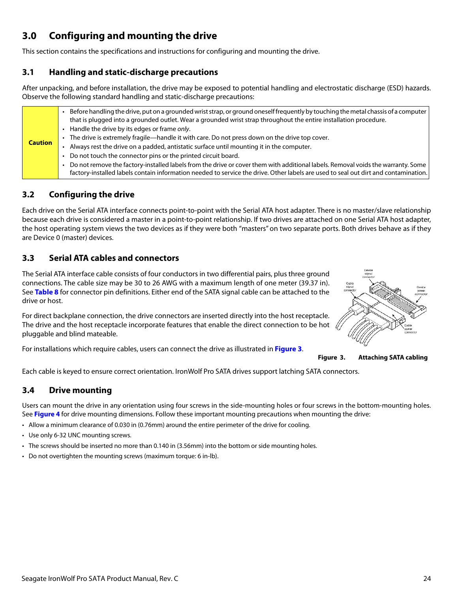# <span id="page-24-0"></span>**3.0 Configuring and mounting the drive**

This section contains the specifications and instructions for configuring and mounting the drive.

# <span id="page-24-1"></span>**3.1 Handling and static-discharge precautions**

After unpacking, and before installation, the drive may be exposed to potential handling and electrostatic discharge (ESD) hazards. Observe the following standard handling and static-discharge precautions:

# <span id="page-24-2"></span>**3.2 Configuring the drive**

Each drive on the Serial ATA interface connects point-to-point with the Serial ATA host adapter. There is no master/slave relationship because each drive is considered a master in a point-to-point relationship. If two drives are attached on one Serial ATA host adapter, the host operating system views the two devices as if they were both "masters" on two separate ports. Both drives behave as if they are Device 0 (master) devices.

# <span id="page-24-3"></span>**3.3 Serial ATA cables and connectors**

The Serial ATA interface cable consists of four conductors in two differential pairs, plus three ground connections. The cable size may be 30 to 26 AWG with a maximum length of one meter (39.37 in). See **Table 8** for connector pin definitions. Either end of the SATA signal cable can be attached to the drive or host.

For direct backplane connection, the drive connectors are inserted directly into the host receptacle. The drive and the host receptacle incorporate features that enable the direct connection to be hot  $\ell$ pluggable and blind mateable.

<span id="page-24-5"></span>For installations which require cables, users can connect the drive as illustrated in **[Figure 3](#page-24-5)**.



**Figure 3. Attaching SATA cabling**

Each cable is keyed to ensure correct orientation. IronWolf Pro SATA drives support latching SATA connectors.

# <span id="page-24-4"></span>**3.4 Drive mounting**

Users can mount the drive in any orientation using four screws in the side-mounting holes or four screws in the bottom-mounting holes. See **Figure 4** for drive mounting dimensions. Follow these important mounting precautions when mounting the drive:

- Allow a minimum clearance of 0.030 in (0.76mm) around the entire perimeter of the drive for cooling.
- Use only 6-32 UNC mounting screws.
- The screws should be inserted no more than 0.140 in (3.56mm) into the bottom or side mounting holes.
- Do not overtighten the mounting screws (maximum torque: 6 in-lb).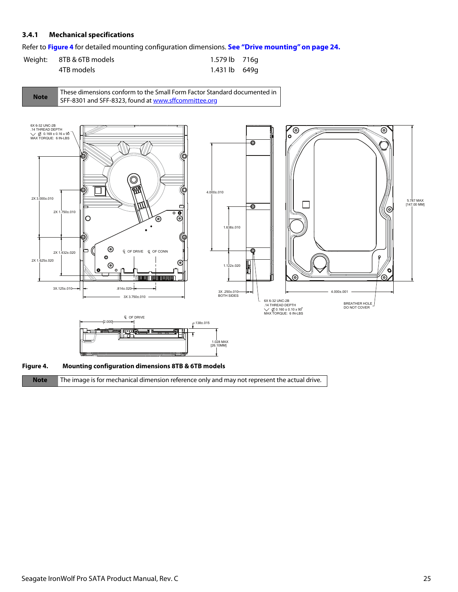## <span id="page-25-0"></span>**3.4.1 Mechanical specifications**

Refer to **Figure 4** for detailed mounting configuration dimensions. **[See "Drive mounting" on page 24.](#page-24-4)**

| Weight: 8TB & 6TB models | 1.579 lb 716g |  |
|--------------------------|---------------|--|
| 4TB models               | 1.431 lb 649q |  |





**Note** The image is for mechanical dimension reference only and may not represent the actual drive.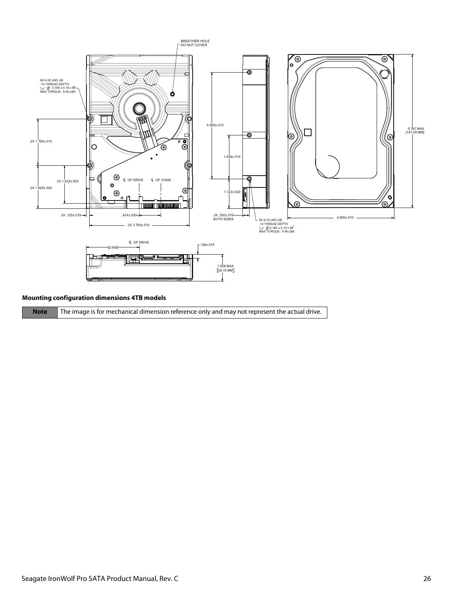

#### **Mounting configuration dimensions 4TB models**

**Note** The image is for mechanical dimension reference only and may not represent the actual drive.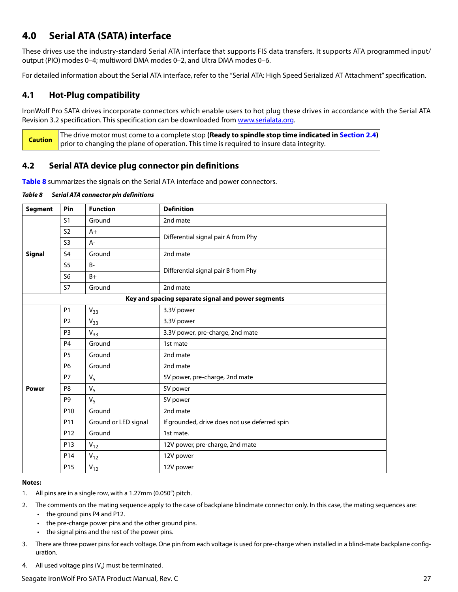# <span id="page-27-0"></span>**4.0 Serial ATA (SATA) interface**

These drives use the industry-standard Serial ATA interface that supports FIS data transfers. It supports ATA programmed input/ output (PIO) modes 0–4; multiword DMA modes 0–2, and Ultra DMA modes 0–6.

For detailed information about the Serial ATA interface, refer to the "Serial ATA: High Speed Serialized AT Attachment" specification.

# <span id="page-27-1"></span>**4.1 Hot-Plug compatibility**

IronWolf Pro SATA drives incorporate connectors which enable users to hot plug these drives in accordance with the Serial ATA Revision 3.2 specification. This specification can be downloaded from [www.serialata.or](http://www.serialata.org)g.

**Caution** The drive motor must come to a complete stop **(Ready to spindle stop time indicated in [Section 2.4](#page-9-3))** prior to changing the plane of operation. This time is required to insure data integrity.

# <span id="page-27-2"></span>**4.2 Serial ATA device plug connector pin definitions**

**Table 8** summarizes the signals on the Serial ATA interface and power connectors.

#### *Table 8 Serial ATA connector pin definitions*

| <b>Segment</b> | Pin             | <b>Function</b>      | <b>Definition</b>                                  |
|----------------|-----------------|----------------------|----------------------------------------------------|
|                | S <sub>1</sub>  | Ground               | 2nd mate                                           |
|                | S <sub>2</sub>  | $A+$                 | Differential signal pair A from Phy                |
|                | S <sub>3</sub>  | $A -$                |                                                    |
| <b>Signal</b>  | S <sub>4</sub>  | Ground               | 2nd mate                                           |
|                | S <sub>5</sub>  | <b>B-</b>            | Differential signal pair B from Phy                |
|                | S <sub>6</sub>  | $B+$                 |                                                    |
|                | <b>S7</b>       | Ground               | 2nd mate                                           |
|                |                 |                      | Key and spacing separate signal and power segments |
|                | P <sub>1</sub>  | $V_{33}$             | 3.3V power                                         |
|                | P <sub>2</sub>  | $V_{33}$             | 3.3V power                                         |
|                | P <sub>3</sub>  | $V_{33}$             | 3.3V power, pre-charge, 2nd mate                   |
|                | P <sub>4</sub>  | Ground               | 1st mate                                           |
|                | P <sub>5</sub>  | Ground               | 2nd mate                                           |
|                | P <sub>6</sub>  | Ground               | 2nd mate                                           |
| Power          | P7              | $V_5$                | 5V power, pre-charge, 2nd mate                     |
|                | P <sub>8</sub>  | $V_5$                | 5V power                                           |
|                | P <sub>9</sub>  | $V_5$                | 5V power                                           |
|                | P10             | Ground               | 2nd mate                                           |
|                | P11             | Ground or LED signal | If grounded, drive does not use deferred spin      |
|                | P <sub>12</sub> | Ground               | 1st mate.                                          |
|                | P13             | $V_{12}$             | 12V power, pre-charge, 2nd mate                    |
|                | P14             | $V_{12}$             | 12V power                                          |
|                | P <sub>15</sub> | $V_{12}$             | 12V power                                          |

#### **Notes:**

- 1. All pins are in a single row, with a 1.27mm (0.050") pitch.
- 2. The comments on the mating sequence apply to the case of backplane blindmate connector only. In this case, the mating sequences are:
	- the ground pins P4 and P12.
	- the pre-charge power pins and the other ground pins.
	- the signal pins and the rest of the power pins.
- 3. There are three power pins for each voltage. One pin from each voltage is used for pre-charge when installed in a blind-mate backplane configuration.
- 4. All used voltage pins  $(V_x)$  must be terminated.

## Seagate IronWolf Pro SATA Product Manual, Rev. C 27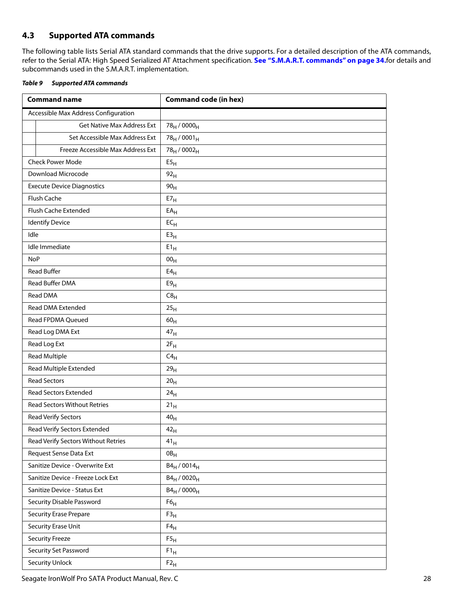# <span id="page-28-0"></span>**4.3 Supported ATA commands**

The following table lists Serial ATA standard commands that the drive supports. For a detailed description of the ATA commands, refer to the Serial ATA: High Speed Serialized AT Attachment specification. **[See "S.M.A.R.T. commands" on page 34.](#page-34-0)**for details and subcommands used in the S.M.A.R.T. implementation.

<span id="page-28-1"></span>

| Table 9 | Supported ATA commands |
|---------|------------------------|
|         |                        |

| <b>Command name</b>                  | <b>Command code (in hex)</b>        |
|--------------------------------------|-------------------------------------|
| Accessible Max Address Configuration |                                     |
| <b>Get Native Max Address Ext</b>    | 78 <sub>H</sub> / 0000 <sub>H</sub> |
| Set Accessible Max Address Ext       | $78_H / 0001_H$                     |
| Freeze Accessible Max Address Ext    | 78 <sub>H</sub> / 0002 <sub>H</sub> |
| <b>Check Power Mode</b>              | E5 <sub>H</sub>                     |
| Download Microcode                   | 92 <sub>H</sub>                     |
| <b>Execute Device Diagnostics</b>    | 90 <sub>H</sub>                     |
| Flush Cache                          | E7 <sub>H</sub>                     |
| Flush Cache Extended                 | $EA_H$                              |
| <b>Identify Device</b>               | $EC_{H}$                            |
| Idle                                 | E3 <sub>H</sub>                     |
| Idle Immediate                       | $E1_H$                              |
| <b>NoP</b>                           | 00 <sub>H</sub>                     |
| <b>Read Buffer</b>                   | E4 <sub>H</sub>                     |
| Read Buffer DMA                      | E9 <sub>H</sub>                     |
| Read DMA                             | $C8_H$                              |
| Read DMA Extended                    | 25 <sub>H</sub>                     |
| Read FPDMA Queued                    | 60 <sub>H</sub>                     |
| Read Log DMA Ext                     | 47 <sub>H</sub>                     |
| Read Log Ext                         | $2F_H$                              |
| <b>Read Multiple</b>                 | $C4_H$                              |
| Read Multiple Extended               | 29 <sub>H</sub>                     |
| <b>Read Sectors</b>                  | 20 <sub>H</sub>                     |
| Read Sectors Extended                | 24 <sub>H</sub>                     |
| <b>Read Sectors Without Retries</b>  | 21 <sub>H</sub>                     |
| <b>Read Verify Sectors</b>           | $40_H$                              |
| Read Verify Sectors Extended         | $42_{\rm H}$                        |
| Read Verify Sectors Without Retries  | $41_H$                              |
| Request Sense Data Ext               | OB <sub>H</sub>                     |
| Sanitize Device - Overwrite Ext      | $B4_H / 0014_H$                     |
| Sanitize Device - Freeze Lock Ext    | $B4_H / 0020_H$                     |
| Sanitize Device - Status Ext         | $B4_H / 0000_H$                     |
| Security Disable Password            | F6 <sub>H</sub>                     |
| <b>Security Erase Prepare</b>        | F3 <sub>H</sub>                     |
| Security Erase Unit                  | $F4_H$                              |
| <b>Security Freeze</b>               | F5 <sub>H</sub>                     |
| Security Set Password                | $F1_H$                              |
| <b>Security Unlock</b>               | $F2_H$                              |

Seagate IronWolf Pro SATA Product Manual, Rev. C 28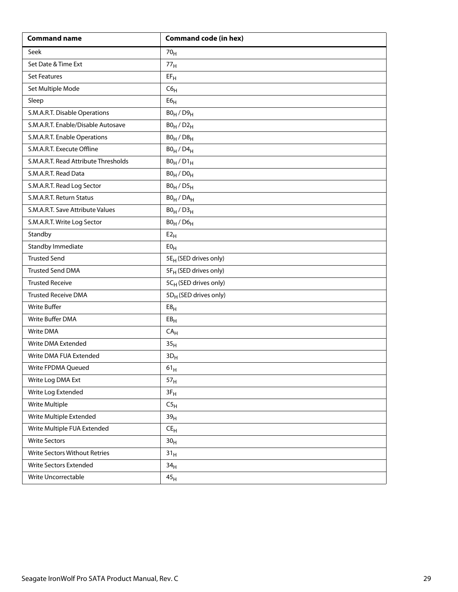| <b>Command name</b>                  | <b>Command code (in hex)</b>      |
|--------------------------------------|-----------------------------------|
| Seek                                 | 70 <sub>H</sub>                   |
| Set Date & Time Ext                  | 77 <sub>H</sub>                   |
| <b>Set Features</b>                  | $EF_H$                            |
| Set Multiple Mode                    | C6 <sub>H</sub>                   |
| Sleep                                | ${\sf E6}_{\sf H}$                |
| S.M.A.R.T. Disable Operations        | $B0_H / D9_H$                     |
| S.M.A.R.T. Enable/Disable Autosave   | $B0_H / D2_H$                     |
| S.M.A.R.T. Enable Operations         | $B0_H / D8_H$                     |
| S.M.A.R.T. Execute Offline           | $B0_H$ / $D4_H$                   |
| S.M.A.R.T. Read Attribute Thresholds | $B0_H / D1_H$                     |
| S.M.A.R.T. Read Data                 | $B0_H / D0_H$                     |
| S.M.A.R.T. Read Log Sector           | $B0_H / D5_H$                     |
| S.M.A.R.T. Return Status             | $BO_H / DA_H$                     |
| S.M.A.R.T. Save Attribute Values     | $B0_H / D3_H$                     |
| S.M.A.R.T. Write Log Sector          | $B0_H$ / $D6_H$                   |
| Standby                              | E2 <sub>H</sub>                   |
| Standby Immediate                    | E0 <sub>H</sub>                   |
| <b>Trusted Send</b>                  | 5E <sub>H</sub> (SED drives only) |
| <b>Trusted Send DMA</b>              | 5F <sub>H</sub> (SED drives only) |
| <b>Trusted Receive</b>               | 5CH (SED drives only)             |
| <b>Trusted Receive DMA</b>           | 5D <sub>H</sub> (SED drives only) |
| <b>Write Buffer</b>                  | E8 <sub>H</sub>                   |
| Write Buffer DMA                     | EB <sub>H</sub>                   |
| Write DMA                            | CA <sub>H</sub>                   |
| Write DMA Extended                   | 35 <sub>H</sub>                   |
| Write DMA FUA Extended               | $3D_H$                            |
| Write FPDMA Queued                   | $61_{\rm H}$                      |
| Write Log DMA Ext                    | 57 <sub>H</sub>                   |
| Write Log Extended                   | $3F_H$                            |
| Write Multiple                       | C5 <sub>H</sub>                   |
| Write Multiple Extended              | 39 <sub>H</sub>                   |
| Write Multiple FUA Extended          | $\mathsf{CE}_\mathsf{H}$          |
| <b>Write Sectors</b>                 | 30 <sub>H</sub>                   |
| Write Sectors Without Retries        | 31 <sub>H</sub>                   |
| Write Sectors Extended               | 34 <sub>H</sub>                   |
| Write Uncorrectable                  | $\mathbf{45}_\mathsf{H}$          |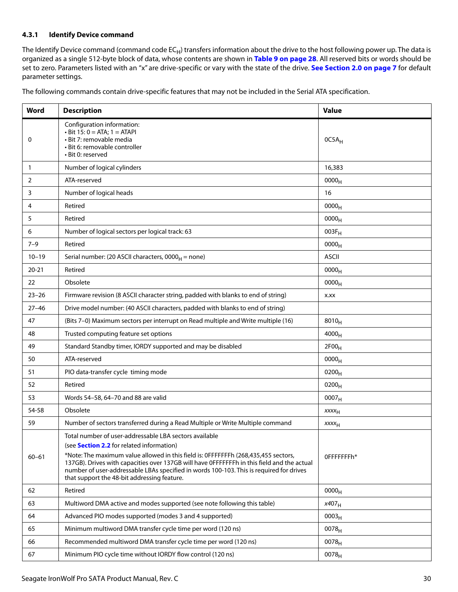## <span id="page-30-0"></span>**4.3.1 Identify Device command**

The Identify Device command (command code  $EC_H$ ) transfers information about the drive to the host following power up. The data is organized as a single 512-byte block of data, whose contents are shown in **[Table 9 on page 28](#page-28-1)**. All reserved bits or words should be set to zero. Parameters listed with an "x" are drive-specific or vary with the state of the drive. **[See Section 2.0 on page 7](#page-7-0)** for default parameter settings.

The following commands contain drive-specific features that may not be included in the Serial ATA specification.

| Word         | <b>Description</b>                                                                                                                                                                                                                                                                                                                                                                                                                       | <b>Value</b>      |
|--------------|------------------------------------------------------------------------------------------------------------------------------------------------------------------------------------------------------------------------------------------------------------------------------------------------------------------------------------------------------------------------------------------------------------------------------------------|-------------------|
| 0            | Configuration information:<br>$\cdot$ Bit 15: 0 = ATA; 1 = ATAPI<br>• Bit 7: removable media<br>· Bit 6: removable controller<br>• Bit 0: reserved                                                                                                                                                                                                                                                                                       | 0C5A <sub>H</sub> |
| $\mathbf{1}$ | Number of logical cylinders                                                                                                                                                                                                                                                                                                                                                                                                              | 16,383            |
| 2            | ATA-reserved                                                                                                                                                                                                                                                                                                                                                                                                                             | 0000 <sub>H</sub> |
| 3            | Number of logical heads                                                                                                                                                                                                                                                                                                                                                                                                                  | 16                |
| 4            | Retired                                                                                                                                                                                                                                                                                                                                                                                                                                  | 0000 <sub>H</sub> |
| 5            | Retired                                                                                                                                                                                                                                                                                                                                                                                                                                  | 0000 <sub>H</sub> |
| 6            | Number of logical sectors per logical track: 63                                                                                                                                                                                                                                                                                                                                                                                          | $003F_H$          |
| $7 - 9$      | Retired                                                                                                                                                                                                                                                                                                                                                                                                                                  | 0000 <sub>H</sub> |
| $10 - 19$    | Serial number: (20 ASCII characters, $0000_H$ = none)                                                                                                                                                                                                                                                                                                                                                                                    | <b>ASCII</b>      |
| $20 - 21$    | Retired                                                                                                                                                                                                                                                                                                                                                                                                                                  | 0000 <sub>H</sub> |
| 22           | Obsolete                                                                                                                                                                                                                                                                                                                                                                                                                                 | 0000 <sub>H</sub> |
| $23 - 26$    | Firmware revision (8 ASCII character string, padded with blanks to end of string)                                                                                                                                                                                                                                                                                                                                                        | X.XX              |
| $27 - 46$    | Drive model number: (40 ASCII characters, padded with blanks to end of string)                                                                                                                                                                                                                                                                                                                                                           |                   |
| 47           | (Bits 7-0) Maximum sectors per interrupt on Read multiple and Write multiple (16)                                                                                                                                                                                                                                                                                                                                                        | $8010_H$          |
| 48           | Trusted computing feature set options                                                                                                                                                                                                                                                                                                                                                                                                    | 4000 <sub>H</sub> |
| 49           | Standard Standby timer, IORDY supported and may be disabled                                                                                                                                                                                                                                                                                                                                                                              | 2F00 <sub>H</sub> |
| 50           | ATA-reserved                                                                                                                                                                                                                                                                                                                                                                                                                             | 0000 <sub>H</sub> |
| 51           | PIO data-transfer cycle timing mode                                                                                                                                                                                                                                                                                                                                                                                                      | $0200_H$          |
| 52           | Retired                                                                                                                                                                                                                                                                                                                                                                                                                                  | $0200_H$          |
| 53           | Words 54-58, 64-70 and 88 are valid                                                                                                                                                                                                                                                                                                                                                                                                      | 0007 <sub>H</sub> |
| 54-58        | Obsolete                                                                                                                                                                                                                                                                                                                                                                                                                                 | $xxxx_{H}$        |
| 59           | Number of sectors transferred during a Read Multiple or Write Multiple command                                                                                                                                                                                                                                                                                                                                                           | XXXH              |
| $60 - 61$    | Total number of user-addressable LBA sectors available<br>(see <b>Section 2.2</b> for related information)<br>*Note: The maximum value allowed in this field is: OFFFFFFFh (268,435,455 sectors,<br>137GB). Drives with capacities over 137GB will have OFFFFFFFh in this field and the actual<br>number of user-addressable LBAs specified in words 100-103. This is required for drives<br>that support the 48-bit addressing feature. | OFFFFFFFh*        |
| 62           | Retired                                                                                                                                                                                                                                                                                                                                                                                                                                  | 0000 <sub>H</sub> |
| 63           | Multiword DMA active and modes supported (see note following this table)                                                                                                                                                                                                                                                                                                                                                                 | $x407_H$          |
| 64           | Advanced PIO modes supported (modes 3 and 4 supported)                                                                                                                                                                                                                                                                                                                                                                                   | 0003 <sub>H</sub> |
| 65           | Minimum multiword DMA transfer cycle time per word (120 ns)                                                                                                                                                                                                                                                                                                                                                                              | $0078_H$          |
| 66           | Recommended multiword DMA transfer cycle time per word (120 ns)                                                                                                                                                                                                                                                                                                                                                                          | 0078 <sub>H</sub> |
| 67           | Minimum PIO cycle time without IORDY flow control (120 ns)                                                                                                                                                                                                                                                                                                                                                                               | $0078_H$          |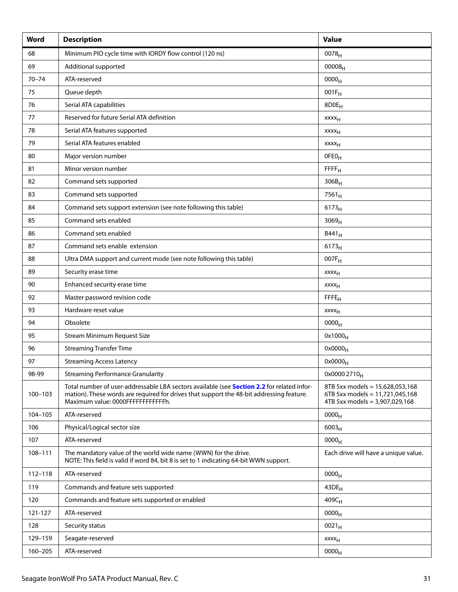| Word        | <b>Description</b>                                                                                                                                                                                                          | <b>Value</b>                                                                                         |
|-------------|-----------------------------------------------------------------------------------------------------------------------------------------------------------------------------------------------------------------------------|------------------------------------------------------------------------------------------------------|
| 68          | Minimum PIO cycle time with IORDY flow control (120 ns)                                                                                                                                                                     | $0078_H$                                                                                             |
| 69          | Additional supported                                                                                                                                                                                                        | $00008_{H}$                                                                                          |
| $70 - 74$   | ATA-reserved                                                                                                                                                                                                                | 0000 <sub>H</sub>                                                                                    |
| 75          | Queue depth                                                                                                                                                                                                                 | $001F_H$                                                                                             |
| 76          | Serial ATA capabilities                                                                                                                                                                                                     | 8D0E <sub>H</sub>                                                                                    |
| 77          | Reserved for future Serial ATA definition                                                                                                                                                                                   | <b>XXXX<sub>H</sub></b>                                                                              |
| 78          | Serial ATA features supported                                                                                                                                                                                               | $xxxx_H$                                                                                             |
| 79          | Serial ATA features enabled                                                                                                                                                                                                 | xxxx <sub>H</sub>                                                                                    |
| 80          | Major version number                                                                                                                                                                                                        | OFEO <sub>H</sub>                                                                                    |
| 81          | Minor version number                                                                                                                                                                                                        | FFFF <sub>H</sub>                                                                                    |
| 82          | Command sets supported                                                                                                                                                                                                      | $306B_H$                                                                                             |
| 83          | Command sets supported                                                                                                                                                                                                      | $7561_H$                                                                                             |
| 84          | Command sets support extension (see note following this table)                                                                                                                                                              | 6173 <sub>H</sub>                                                                                    |
| 85          | Command sets enabled                                                                                                                                                                                                        | 3069 <sub>H</sub>                                                                                    |
| 86          | Command sets enabled                                                                                                                                                                                                        | $B441_H$                                                                                             |
| 87          | Command sets enable extension                                                                                                                                                                                               | $6173_H$                                                                                             |
| 88          | Ultra DMA support and current mode (see note following this table)                                                                                                                                                          | 007F <sub>H</sub>                                                                                    |
| 89          | Security erase time                                                                                                                                                                                                         | $xxxx_{H}$                                                                                           |
| 90          | Enhanced security erase time                                                                                                                                                                                                | XXXH                                                                                                 |
| 92          | Master password revision code                                                                                                                                                                                               | FFE <sub>H</sub>                                                                                     |
| 93          | Hardware reset value                                                                                                                                                                                                        | $xxxx_{H}$                                                                                           |
| 94          | Obsolete                                                                                                                                                                                                                    | 0000 <sub>H</sub>                                                                                    |
| 95          | Stream Minimum Request Size                                                                                                                                                                                                 | $0x1000_H$                                                                                           |
| 96          | <b>Streaming Transfer Time</b>                                                                                                                                                                                              | $0x0000_H$                                                                                           |
| 97          | <b>Streaming Access Latency</b>                                                                                                                                                                                             | $0x0000_H$                                                                                           |
| 98-99       | <b>Streaming Performance Granularity</b>                                                                                                                                                                                    | 0x0000 2710 <sub>H</sub>                                                                             |
| $100 - 103$ | Total number of user-addressable LBA sectors available (see Section 2.2 for related infor-<br>mation). These words are required for drives that support the 48-bit addressing feature.<br>Maximum value: 0000FFFFFFFFFFFFh. | 8TB 5xx models = 15,628,053,168<br>6TB 5xx models = 11,721,045,168<br>4TB 5xx models = 3,907,029,168 |
| 104-105     | ATA-reserved                                                                                                                                                                                                                | 0000 <sub>H</sub>                                                                                    |
| 106         | Physical/Logical sector size                                                                                                                                                                                                | $6003_H$                                                                                             |
| 107         | ATA-reserved                                                                                                                                                                                                                | 0000 <sub>H</sub>                                                                                    |
| 108-111     | The mandatory value of the world wide name (WWN) for the drive.<br>NOTE: This field is valid if word 84, bit 8 is set to 1 indicating 64-bit WWN support.                                                                   | Each drive will have a unique value.                                                                 |
| 112-118     | ATA-reserved                                                                                                                                                                                                                | 0000 <sub>H</sub>                                                                                    |
| 119         | Commands and feature sets supported                                                                                                                                                                                         | 43DE <sub>H</sub>                                                                                    |
| 120         | Commands and feature sets supported or enabled                                                                                                                                                                              | $409C_H$                                                                                             |
| 121-127     | ATA-reserved                                                                                                                                                                                                                | 0000 <sub>H</sub>                                                                                    |
| 128         | Security status                                                                                                                                                                                                             | $0021_H$                                                                                             |
| 129-159     | Seagate-reserved                                                                                                                                                                                                            | <b>XXXX<sub>H</sub></b>                                                                              |
| 160-205     | ATA-reserved                                                                                                                                                                                                                | 0000 <sub>H</sub>                                                                                    |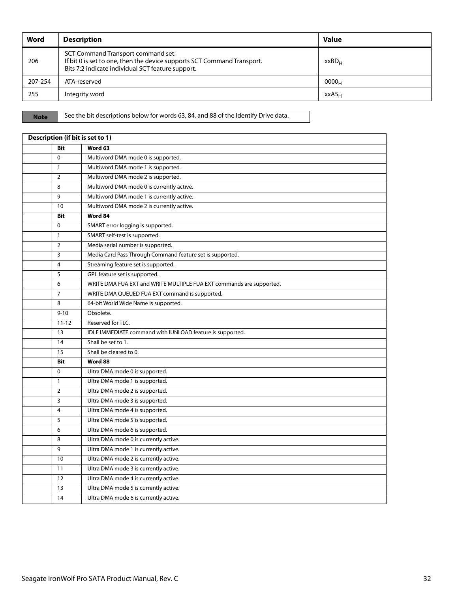| Word    | <b>Description</b>                                                                                                                                                 | <b>Value</b>      |
|---------|--------------------------------------------------------------------------------------------------------------------------------------------------------------------|-------------------|
| 206     | SCT Command Transport command set.<br>If bit 0 is set to one, then the device supports SCT Command Transport.<br>Bits 7:2 indicate individual SCT feature support. | $XXBD_{H}$        |
| 207-254 | ATA-reserved                                                                                                                                                       | 0000 <sub>H</sub> |
| 255     | Integrity word                                                                                                                                                     | $XXAS_H$          |

**Note** See the bit descriptions below for words 63, 84, and 88 of the Identify Drive data.

| Description (if bit is set to 1) |                                                                      |  |  |  |
|----------------------------------|----------------------------------------------------------------------|--|--|--|
| <b>Bit</b>                       | Word 63                                                              |  |  |  |
| $\Omega$                         | Multiword DMA mode 0 is supported.                                   |  |  |  |
| $\mathbf{1}$                     | Multiword DMA mode 1 is supported.                                   |  |  |  |
| $\overline{2}$                   | Multiword DMA mode 2 is supported.                                   |  |  |  |
| 8                                | Multiword DMA mode 0 is currently active.                            |  |  |  |
| 9                                | Multiword DMA mode 1 is currently active.                            |  |  |  |
| 10                               | Multiword DMA mode 2 is currently active.                            |  |  |  |
| <b>Bit</b>                       | Word 84                                                              |  |  |  |
| $\mathbf 0$                      | SMART error logging is supported.                                    |  |  |  |
| $\mathbf{1}$                     | SMART self-test is supported.                                        |  |  |  |
| $\overline{2}$                   | Media serial number is supported.                                    |  |  |  |
| 3                                | Media Card Pass Through Command feature set is supported.            |  |  |  |
| $\overline{4}$                   | Streaming feature set is supported.                                  |  |  |  |
| 5                                | GPL feature set is supported.                                        |  |  |  |
| 6                                | WRITE DMA FUA EXT and WRITE MULTIPLE FUA EXT commands are supported. |  |  |  |
| $\overline{7}$                   | WRITE DMA QUEUED FUA EXT command is supported.                       |  |  |  |
| 8                                | 64-bit World Wide Name is supported.                                 |  |  |  |
| $9 - 10$                         | Obsolete.                                                            |  |  |  |
| $11 - 12$                        | Reserved for TLC.                                                    |  |  |  |
| 13                               | IDLE IMMEDIATE command with IUNLOAD feature is supported.            |  |  |  |
| 14                               | Shall be set to 1.                                                   |  |  |  |
| 15                               | Shall be cleared to 0.                                               |  |  |  |
| Bit                              | Word 88                                                              |  |  |  |
| $\Omega$                         | Ultra DMA mode 0 is supported.                                       |  |  |  |
| $\mathbf{1}$                     | Ultra DMA mode 1 is supported.                                       |  |  |  |
| $\overline{2}$                   | Ultra DMA mode 2 is supported.                                       |  |  |  |
| 3                                | Ultra DMA mode 3 is supported.                                       |  |  |  |
| $\overline{4}$                   | Ultra DMA mode 4 is supported.                                       |  |  |  |
| 5                                | Ultra DMA mode 5 is supported.                                       |  |  |  |
| 6                                | Ultra DMA mode 6 is supported.                                       |  |  |  |
| 8                                | Ultra DMA mode 0 is currently active.                                |  |  |  |
| 9                                | Ultra DMA mode 1 is currently active.                                |  |  |  |
| 10                               | Ultra DMA mode 2 is currently active.                                |  |  |  |
| 11                               | Ultra DMA mode 3 is currently active.                                |  |  |  |
| 12                               | Ultra DMA mode 4 is currently active.                                |  |  |  |
| 13                               | Ultra DMA mode 5 is currently active.                                |  |  |  |
| 14                               | Ultra DMA mode 6 is currently active.                                |  |  |  |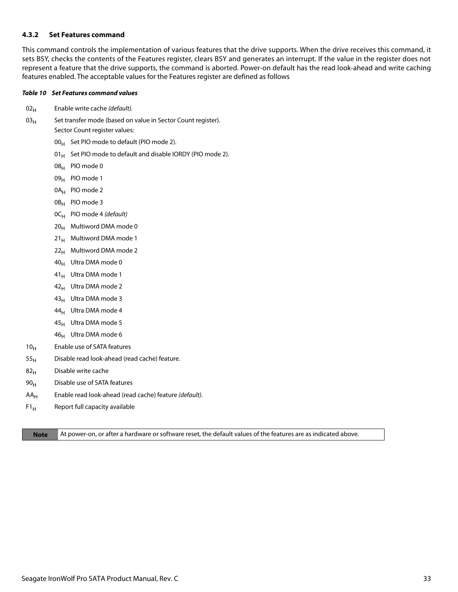#### <span id="page-33-0"></span>**4.3.2 Set Features command**

This command controls the implementation of various features that the drive supports. When the drive receives this command, it sets BSY, checks the contents of the Features register, clears BSY and generates an interrupt. If the value in the register does not represent a feature that the drive supports, the command is aborted. Power-on default has the read look-ahead and write caching features enabled. The acceptable values for the Features register are defined as follows

#### *Table 10 Set Features command values*

- $02<sub>H</sub>$  Enable write cache (default).
- $03_H$  Set transfer mode (based on value in Sector Count register). Sector Count register values:
	- $00_H$  Set PIO mode to default (PIO mode 2).
	- 01 $_{\rm H}$  Set PIO mode to default and disable IORDY (PIO mode 2).
	- 08H PIO mode 0
	- 09<sub>H</sub> PIO mode 1
	- 0A<sub>H</sub> PIO mode 2
	- 0B<sub>H</sub> PIO mode 3
	- $OC_H$  PIO mode 4 (default)
	- $20_H$  Multiword DMA mode 0
	- $21_H$  Multiword DMA mode 1
	- $22<sub>H</sub>$  Multiword DMA mode 2
	- 40<sub>H</sub> Ultra DMA mode 0
	- 41<sub>H</sub> Ultra DMA mode 1
	- $42_H$  Ultra DMA mode 2
	- $43_H$  Ultra DMA mode 3
	- $44_H$  Ultra DMA mode 4
	- $45_H$  Ultra DMA mode 5
	- $46_H$  Ultra DMA mode 6
- 10<sub>H</sub> Enable use of SATA features
- $55<sub>H</sub>$  Disable read look-ahead (read cache) feature.
- $82<sub>H</sub>$  Disable write cache
- $90<sub>H</sub>$  Disable use of SATA features
- $AA_H$  Enable read look-ahead (read cache) feature (default).
- $F1_H$  Report full capacity available

**Note** At power-on, or after a hardware or software reset, the default values of the features are as indicated above.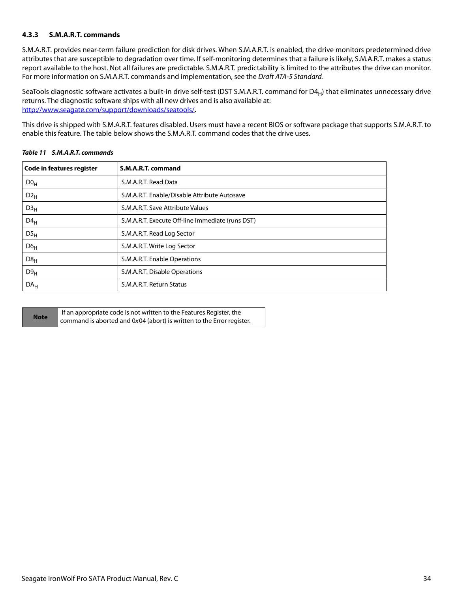## <span id="page-34-0"></span>**4.3.3 S.M.A.R.T. commands**

S.M.A.R.T. provides near-term failure prediction for disk drives. When S.M.A.R.T. is enabled, the drive monitors predetermined drive attributes that are susceptible to degradation over time. If self-monitoring determines that a failure is likely, S.M.A.R.T. makes a status report available to the host. Not all failures are predictable. S.M.A.R.T. predictability is limited to the attributes the drive can monitor. For more information on S.M.A.R.T. commands and implementation, see the Draft ATA-5 Standard.

SeaTools diagnostic software activates a built-in drive self-test (DST S.M.A.R.T. command for  $D4_H$ ) that eliminates unnecessary drive returns. The diagnostic software ships with all new drives and is also available at: [http://www.seagate.com/support/downloads/seatools/](http://www.seagate.com/support/downloads/seatools/ ).

This drive is shipped with S.M.A.R.T. features disabled. Users must have a recent BIOS or software package that supports S.M.A.R.T. to enable this feature. The table below shows the S.M.A.R.T. command codes that the drive uses.

| <b>Code in features register</b> | S.M.A.R.T. command                               |
|----------------------------------|--------------------------------------------------|
| D0 <sub>H</sub>                  | S.M.A.R.T. Read Data                             |
| $D2_H$                           | S.M.A.R.T. Enable/Disable Attribute Autosave     |
| D3 <sub>H</sub>                  | S.M.A.R.T. Save Attribute Values                 |
| $D4_H$                           | S.M.A.R.T. Execute Off-line Immediate (runs DST) |
| DS <sub>H</sub>                  | S.M.A.R.T. Read Log Sector                       |
| D6 <sub>H</sub>                  | S.M.A.R.T. Write Log Sector                      |
| D8 <sub>H</sub>                  | S.M.A.R.T. Enable Operations                     |
| D9 <sub>H</sub>                  | S.M.A.R.T. Disable Operations                    |
| DA <sub>H</sub>                  | S.M.A.R.T. Return Status                         |

## *Table 11 S.M.A.R.T. commands*

|             | If an appropriate code is not written to the Features Register, the   |
|-------------|-----------------------------------------------------------------------|
| <b>Note</b> | command is aborted and 0x04 (abort) is written to the Error register. |